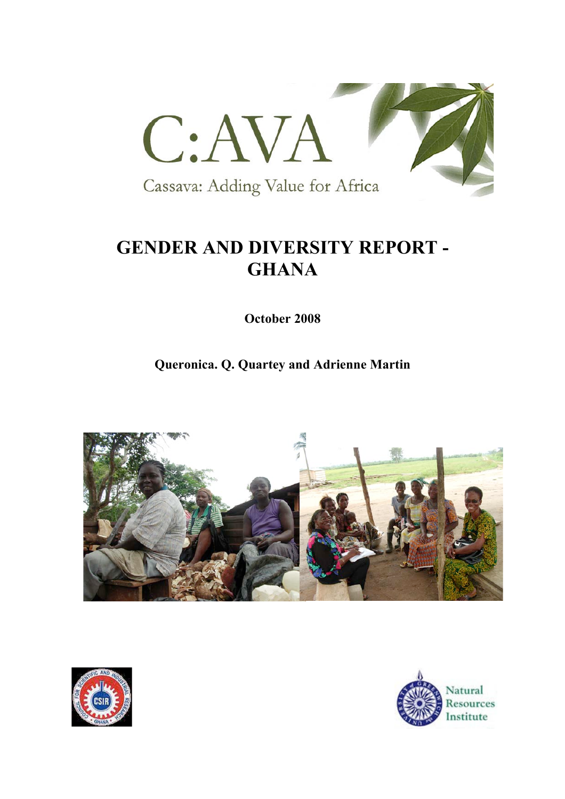

# **GENDER AND DIVERSITY REPORT - GHANA**

**October 2008**

**Queronica. Q. Quartey and Adrienne Martin** 





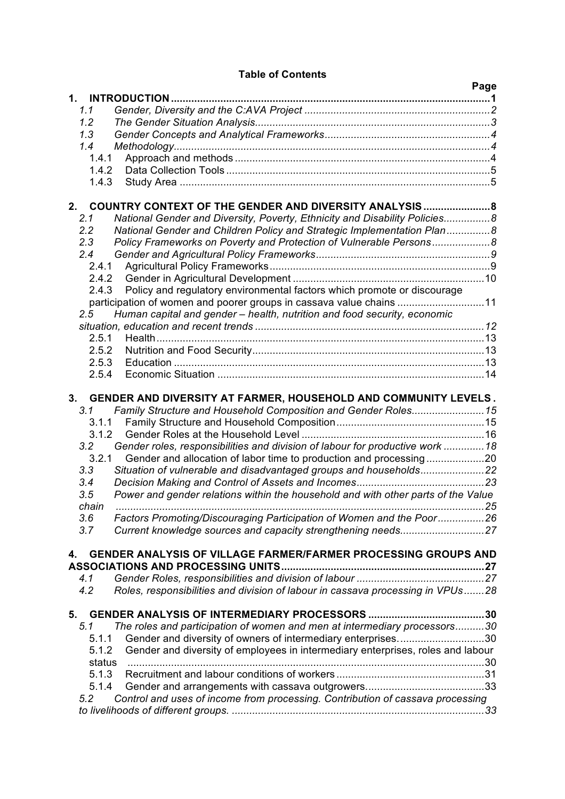### **Table of Contents**

|         |                                                                                                                                     | Page |
|---------|-------------------------------------------------------------------------------------------------------------------------------------|------|
| 1.      | <b>INTRODUCTION.</b>                                                                                                                |      |
| 1.1     |                                                                                                                                     |      |
| 1.2     |                                                                                                                                     |      |
| 1.3     |                                                                                                                                     |      |
| 1.4     |                                                                                                                                     |      |
| 1.4.1   |                                                                                                                                     |      |
| 1.4.2   |                                                                                                                                     |      |
| 1.4.3   |                                                                                                                                     |      |
|         |                                                                                                                                     |      |
| $2_{-}$ | COUNTRY CONTEXT OF THE GENDER AND DIVERSITY ANALYSIS8                                                                               |      |
| 2.1     | National Gender and Diversity, Poverty, Ethnicity and Disability Policies8                                                          |      |
| 2.2     | National Gender and Children Policy and Strategic Implementation Plan8                                                              |      |
| 2.3     | Policy Frameworks on Poverty and Protection of Vulnerable Persons8                                                                  |      |
| 2.4     |                                                                                                                                     |      |
| 2.4.1   |                                                                                                                                     |      |
| 2.4.2   |                                                                                                                                     |      |
| 2.4.3   | Policy and regulatory environmental factors which promote or discourage                                                             |      |
|         | participation of women and poorer groups in cassava value chains 11                                                                 |      |
| 2.5     | Human capital and gender - health, nutrition and food security, economic                                                            |      |
|         |                                                                                                                                     |      |
|         | 2.5.1                                                                                                                               |      |
| 2.5.2   |                                                                                                                                     |      |
| 2.5.3   |                                                                                                                                     |      |
| 2.5.4   |                                                                                                                                     |      |
|         |                                                                                                                                     |      |
| 3.1     | 3. GENDER AND DIVERSITY AT FARMER, HOUSEHOLD AND COMMUNITY LEVELS.<br>Family Structure and Household Composition and Gender Roles15 |      |
|         | 3.1.1                                                                                                                               |      |
|         | 3.1.2                                                                                                                               |      |
| 3.2     | Gender roles, responsibilities and division of labour for productive work  18                                                       |      |
| 3.2.1   |                                                                                                                                     |      |
| 3.3     | Situation of vulnerable and disadvantaged groups and households22                                                                   |      |
| 3.4     |                                                                                                                                     |      |
| 3.5     | Power and gender relations within the household and with other parts of the Value                                                   |      |
| chain   |                                                                                                                                     |      |
| 3.6     | Factors Promoting/Discouraging Participation of Women and the Poor26                                                                |      |
| 3.7     |                                                                                                                                     |      |
|         |                                                                                                                                     |      |
| 4.      | GENDER ANALYSIS OF VILLAGE FARMER/FARMER PROCESSING GROUPS AND                                                                      |      |
| 4.1     |                                                                                                                                     |      |
| 4.2     | Roles, responsibilities and division of labour in cassava processing in VPUs28                                                      |      |
|         |                                                                                                                                     |      |
| 5.      |                                                                                                                                     |      |
| 5.1     | The roles and participation of women and men at intermediary processors30                                                           |      |
| 5.1.1   | Gender and diversity of owners of intermediary enterprises30                                                                        |      |
| 5.1.2   | Gender and diversity of employees in intermediary enterprises, roles and labour                                                     |      |
|         | status                                                                                                                              |      |
|         | 5.1.3                                                                                                                               |      |
|         |                                                                                                                                     |      |
|         | 5.1.4                                                                                                                               |      |
| 5.2     | Control and uses of income from processing. Contribution of cassava processing                                                      |      |
|         |                                                                                                                                     |      |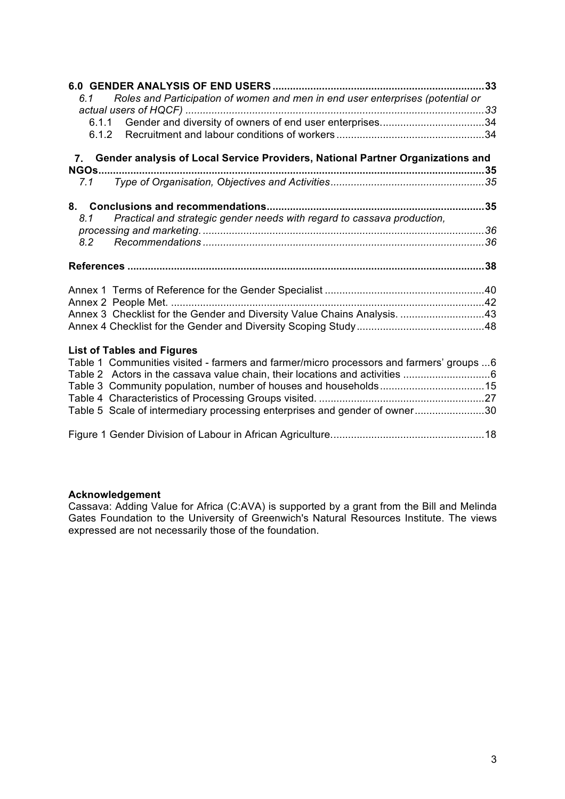| 33<br>Roles and Participation of women and men in end user enterprises (potential or<br>6.1                                                                                                                |  |
|------------------------------------------------------------------------------------------------------------------------------------------------------------------------------------------------------------|--|
|                                                                                                                                                                                                            |  |
| 7. Gender analysis of Local Service Providers, National Partner Organizations and<br>NGOs                                                                                                                  |  |
| 7.1                                                                                                                                                                                                        |  |
| Practical and strategic gender needs with regard to cassava production,<br>8.1                                                                                                                             |  |
| 8.2                                                                                                                                                                                                        |  |
|                                                                                                                                                                                                            |  |
| Annex 3 Checklist for the Gender and Diversity Value Chains Analysis. 43                                                                                                                                   |  |
| <b>List of Tables and Figures</b><br>Table 1 Communities visited - farmers and farmer/micro processors and farmers' groups 6<br>Table 5 Scale of intermediary processing enterprises and gender of owner30 |  |

Figure 1 Gender Division of Labour in African Agriculture.....................................................18

#### **Acknowledgement**

Cassava: Adding Value for Africa (C:AVA) is supported by a grant from the Bill and Melinda Gates Foundation to the University of Greenwich's Natural Resources Institute. The views expressed are not necessarily those of the foundation.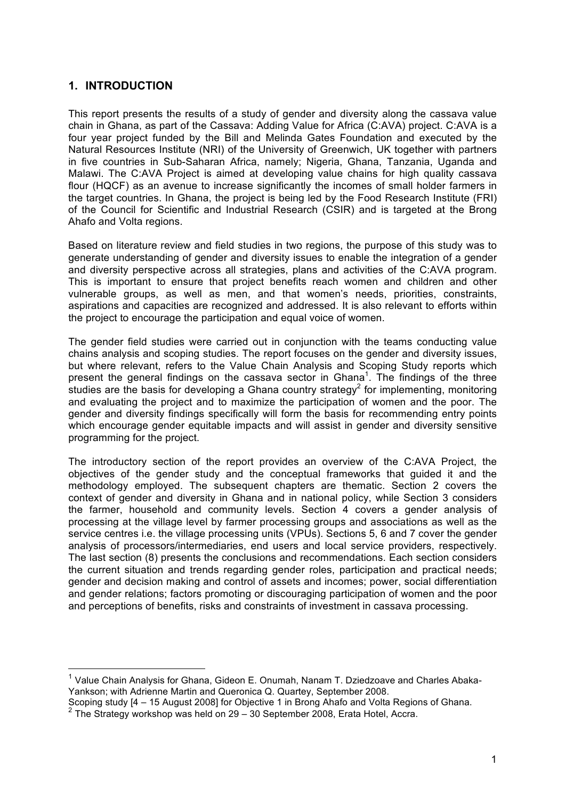# **1. INTRODUCTION**

This report presents the results of a study of gender and diversity along the cassava value chain in Ghana, as part of the Cassava: Adding Value for Africa (C:AVA) project. C:AVA is a four year project funded by the Bill and Melinda Gates Foundation and executed by the Natural Resources Institute (NRI) of the University of Greenwich, UK together with partners in five countries in Sub-Saharan Africa, namely; Nigeria, Ghana, Tanzania, Uganda and Malawi. The C:AVA Project is aimed at developing value chains for high quality cassava flour (HQCF) as an avenue to increase significantly the incomes of small holder farmers in the target countries. In Ghana, the project is being led by the Food Research Institute (FRI) of the Council for Scientific and Industrial Research (CSIR) and is targeted at the Brong Ahafo and Volta regions.

Based on literature review and field studies in two regions, the purpose of this study was to generate understanding of gender and diversity issues to enable the integration of a gender and diversity perspective across all strategies, plans and activities of the C:AVA program. This is important to ensure that project benefits reach women and children and other vulnerable groups, as well as men, and that women's needs, priorities, constraints, aspirations and capacities are recognized and addressed. It is also relevant to efforts within the project to encourage the participation and equal voice of women.

The gender field studies were carried out in conjunction with the teams conducting value chains analysis and scoping studies. The report focuses on the gender and diversity issues, but where relevant, refers to the Value Chain Analysis and Scoping Study reports which present the general findings on the cassava sector in Ghana<sup>1</sup>. The findings of the three studies are the basis for developing a Ghana country strategy<sup>2</sup> for implementing, monitoring and evaluating the project and to maximize the participation of women and the poor. The gender and diversity findings specifically will form the basis for recommending entry points which encourage gender equitable impacts and will assist in gender and diversity sensitive programming for the project.

The introductory section of the report provides an overview of the C:AVA Project, the objectives of the gender study and the conceptual frameworks that guided it and the methodology employed. The subsequent chapters are thematic. Section 2 covers the context of gender and diversity in Ghana and in national policy, while Section 3 considers the farmer, household and community levels. Section 4 covers a gender analysis of processing at the village level by farmer processing groups and associations as well as the service centres i.e. the village processing units (VPUs). Sections 5, 6 and 7 cover the gender analysis of processors/intermediaries, end users and local service providers, respectively. The last section (8) presents the conclusions and recommendations. Each section considers the current situation and trends regarding gender roles, participation and practical needs; gender and decision making and control of assets and incomes; power, social differentiation and gender relations; factors promoting or discouraging participation of women and the poor and perceptions of benefits, risks and constraints of investment in cassava processing.

 $1$  Value Chain Analysis for Ghana, Gideon E. Onumah, Nanam T. Dziedzoave and Charles Abaka-Yankson; with Adrienne Martin and Queronica Q. Quartey, September 2008.

Scoping study [4 – 15 August 2008] for Objective 1 in Brong Ahafo and Volta Regions of Ghana. <sup>2</sup> The Strategy workshop was held on 29 – 30 September 2008, Erata Hotel, Accra.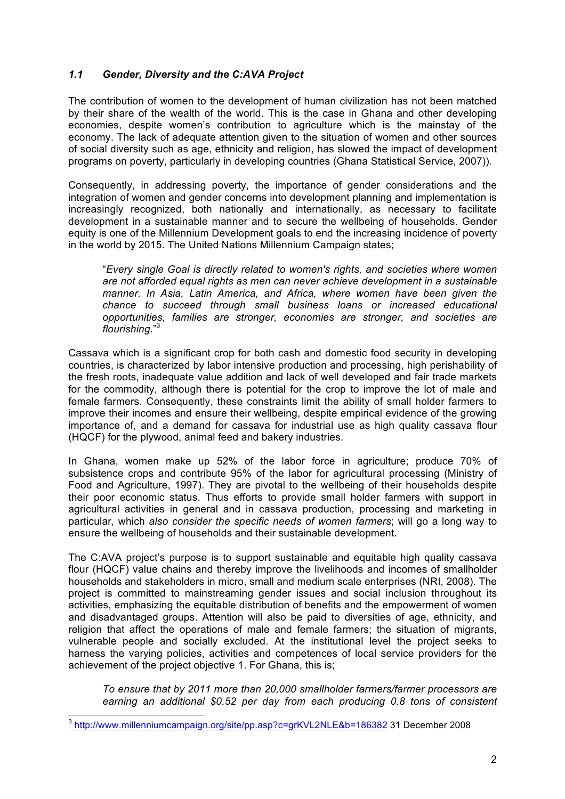# *1.1 Gender, Diversity and the C:AVA Project*

The contribution of women to the development of human civilization has not been matched by their share of the wealth of the world. This is the case in Ghana and other developing economies, despite women's contribution to agriculture which is the mainstay of the economy. The lack of adequate attention given to the situation of women and other sources of social diversity such as age, ethnicity and religion, has slowed the impact of development programs on poverty, particularly in developing countries (Ghana Statistical Service, 2007)).

Consequently, in addressing poverty, the importance of gender considerations and the integration of women and gender concerns into development planning and implementation is increasingly recognized, both nationally and internationally, as necessary to facilitate development in a sustainable manner and to secure the wellbeing of households. Gender equity is one of the Millennium Development goals to end the increasing incidence of poverty in the world by 2015. The United Nations Millennium Campaign states;

"*Every single Goal is directly related to women's rights, and societies where women are not afforded equal rights as men can never achieve development in a sustainable manner. In Asia, Latin America, and Africa, where women have been given the chance to succeed through small business loans or increased educational opportunities, families are stronger, economies are stronger, and societies are flourishing*."<sup>3</sup>

Cassava which is a significant crop for both cash and domestic food security in developing countries, is characterized by labor intensive production and processing, high perishability of the fresh roots, inadequate value addition and lack of well developed and fair trade markets for the commodity, although there is potential for the crop to improve the lot of male and female farmers. Consequently, these constraints limit the ability of small holder farmers to improve their incomes and ensure their wellbeing, despite empirical evidence of the growing importance of, and a demand for cassava for industrial use as high quality cassava flour (HQCF) for the plywood, animal feed and bakery industries.

In Ghana, women make up 52% of the labor force in agriculture; produce 70% of subsistence crops and contribute 95% of the labor for agricultural processing (Ministry of Food and Agriculture, 1997). They are pivotal to the wellbeing of their households despite their poor economic status. Thus efforts to provide small holder farmers with support in agricultural activities in general and in cassava production, processing and marketing in particular, which *also consider the specific needs of women farmers*; will go a long way to ensure the wellbeing of households and their sustainable development.

The C:AVA project's purpose is to support sustainable and equitable high quality cassava flour (HQCF) value chains and thereby improve the livelihoods and incomes of smallholder households and stakeholders in micro, small and medium scale enterprises (NRI, 2008). The project is committed to mainstreaming gender issues and social inclusion throughout its activities, emphasizing the equitable distribution of benefits and the empowerment of women and disadvantaged groups. Attention will also be paid to diversities of age, ethnicity, and religion that affect the operations of male and female farmers; the situation of migrants, vulnerable people and socially excluded. At the institutional level the project seeks to harness the varying policies, activities and competences of local service providers for the achievement of the project objective 1. For Ghana, this is;

*To ensure that by 2011 more than 20,000 smallholder farmers/farmer processors are earning an additional \$0.52 per day from each producing 0.8 tons of consistent* 

 <sup>3</sup> http://www.millenniumcampaign.org/site/pp.asp?c=grKVL2NLE&b=186382 31 December 2008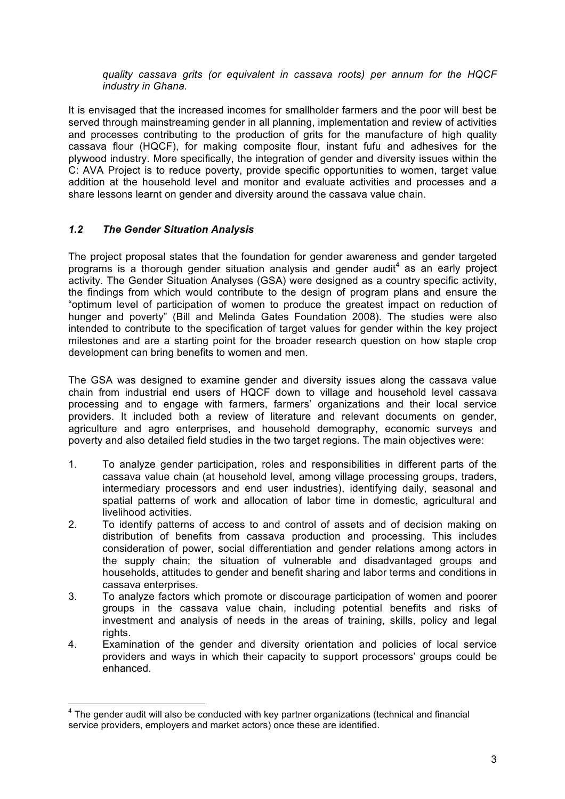*quality cassava grits (or equivalent in cassava roots) per annum for the HQCF industry in Ghana.*

It is envisaged that the increased incomes for smallholder farmers and the poor will best be served through mainstreaming gender in all planning, implementation and review of activities and processes contributing to the production of grits for the manufacture of high quality cassava flour (HQCF), for making composite flour, instant fufu and adhesives for the plywood industry. More specifically, the integration of gender and diversity issues within the C: AVA Project is to reduce poverty, provide specific opportunities to women, target value addition at the household level and monitor and evaluate activities and processes and a share lessons learnt on gender and diversity around the cassava value chain.

#### *1.2 The Gender Situation Analysis*

The project proposal states that the foundation for gender awareness and gender targeted programs is a thorough gender situation analysis and gender audit<sup>4</sup> as an early project activity. The Gender Situation Analyses (GSA) were designed as a country specific activity, the findings from which would contribute to the design of program plans and ensure the "optimum level of participation of women to produce the greatest impact on reduction of hunger and poverty" (Bill and Melinda Gates Foundation 2008). The studies were also intended to contribute to the specification of target values for gender within the key project milestones and are a starting point for the broader research question on how staple crop development can bring benefits to women and men.

The GSA was designed to examine gender and diversity issues along the cassava value chain from industrial end users of HQCF down to village and household level cassava processing and to engage with farmers, farmers' organizations and their local service providers. It included both a review of literature and relevant documents on gender, agriculture and agro enterprises, and household demography, economic surveys and poverty and also detailed field studies in the two target regions. The main objectives were:

- 1. To analyze gender participation, roles and responsibilities in different parts of the cassava value chain (at household level, among village processing groups, traders, intermediary processors and end user industries), identifying daily, seasonal and spatial patterns of work and allocation of labor time in domestic, agricultural and livelihood activities.
- 2. To identify patterns of access to and control of assets and of decision making on distribution of benefits from cassava production and processing. This includes consideration of power, social differentiation and gender relations among actors in the supply chain; the situation of vulnerable and disadvantaged groups and households, attitudes to gender and benefit sharing and labor terms and conditions in cassava enterprises.
- 3. To analyze factors which promote or discourage participation of women and poorer groups in the cassava value chain, including potential benefits and risks of investment and analysis of needs in the areas of training, skills, policy and legal rights.
- 4. Examination of the gender and diversity orientation and policies of local service providers and ways in which their capacity to support processors' groups could be enhanced.

<sup>&</sup>lt;sup>4</sup> The gender audit will also be conducted with key partner organizations (technical and financial service providers, employers and market actors) once these are identified.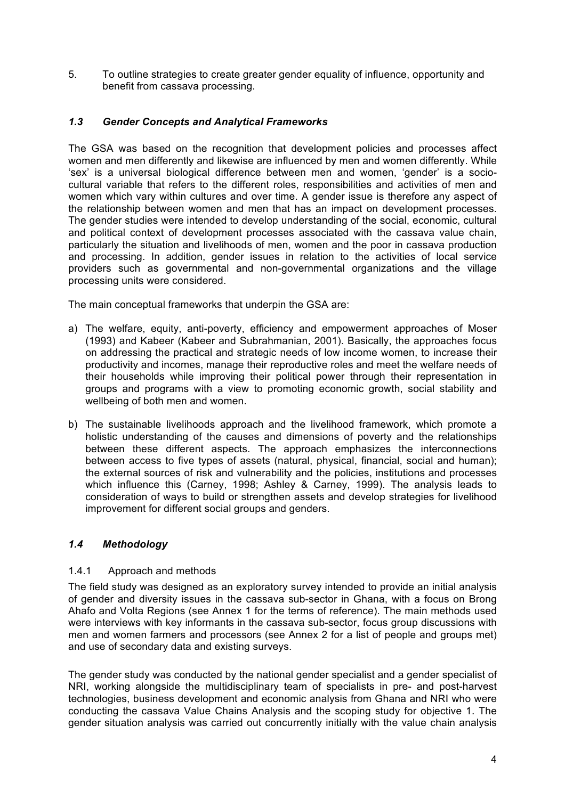5. To outline strategies to create greater gender equality of influence, opportunity and benefit from cassava processing.

#### *1.3 Gender Concepts and Analytical Frameworks*

The GSA was based on the recognition that development policies and processes affect women and men differently and likewise are influenced by men and women differently. While 'sex' is a universal biological difference between men and women, 'gender' is a sociocultural variable that refers to the different roles, responsibilities and activities of men and women which vary within cultures and over time. A gender issue is therefore any aspect of the relationship between women and men that has an impact on development processes. The gender studies were intended to develop understanding of the social, economic, cultural and political context of development processes associated with the cassava value chain, particularly the situation and livelihoods of men, women and the poor in cassava production and processing. In addition, gender issues in relation to the activities of local service providers such as governmental and non-governmental organizations and the village processing units were considered.

The main conceptual frameworks that underpin the GSA are:

- a) The welfare, equity, anti-poverty, efficiency and empowerment approaches of Moser (1993) and Kabeer (Kabeer and Subrahmanian, 2001). Basically, the approaches focus on addressing the practical and strategic needs of low income women, to increase their productivity and incomes, manage their reproductive roles and meet the welfare needs of their households while improving their political power through their representation in groups and programs with a view to promoting economic growth, social stability and wellbeing of both men and women.
- b) The sustainable livelihoods approach and the livelihood framework, which promote a holistic understanding of the causes and dimensions of poverty and the relationships between these different aspects. The approach emphasizes the interconnections between access to five types of assets (natural, physical, financial, social and human); the external sources of risk and vulnerability and the policies, institutions and processes which influence this (Carney, 1998; Ashley & Carney, 1999). The analysis leads to consideration of ways to build or strengthen assets and develop strategies for livelihood improvement for different social groups and genders.

#### *1.4 Methodology*

#### 1.4.1 Approach and methods

The field study was designed as an exploratory survey intended to provide an initial analysis of gender and diversity issues in the cassava sub-sector in Ghana, with a focus on Brong Ahafo and Volta Regions (see Annex 1 for the terms of reference). The main methods used were interviews with key informants in the cassava sub-sector, focus group discussions with men and women farmers and processors (see Annex 2 for a list of people and groups met) and use of secondary data and existing surveys.

The gender study was conducted by the national gender specialist and a gender specialist of NRI, working alongside the multidisciplinary team of specialists in pre- and post-harvest technologies, business development and economic analysis from Ghana and NRI who were conducting the cassava Value Chains Analysis and the scoping study for objective 1. The gender situation analysis was carried out concurrently initially with the value chain analysis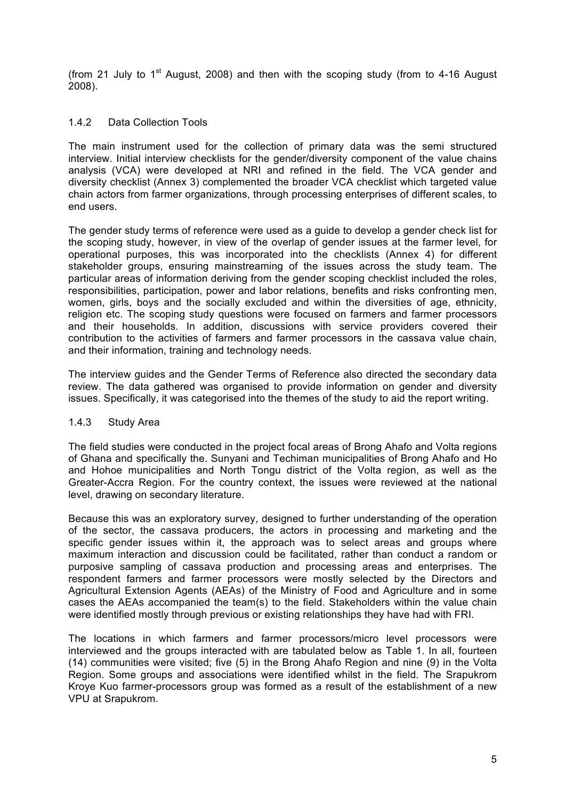(from 21 July to  $1<sup>st</sup>$  August, 2008) and then with the scoping study (from to 4-16 August 2008).

#### 1.4.2 Data Collection Tools

The main instrument used for the collection of primary data was the semi structured interview. Initial interview checklists for the gender/diversity component of the value chains analysis (VCA) were developed at NRI and refined in the field. The VCA gender and diversity checklist (Annex 3) complemented the broader VCA checklist which targeted value chain actors from farmer organizations, through processing enterprises of different scales, to end users.

The gender study terms of reference were used as a guide to develop a gender check list for the scoping study, however, in view of the overlap of gender issues at the farmer level, for operational purposes, this was incorporated into the checklists (Annex 4) for different stakeholder groups, ensuring mainstreaming of the issues across the study team. The particular areas of information deriving from the gender scoping checklist included the roles, responsibilities, participation, power and labor relations, benefits and risks confronting men, women, girls, boys and the socially excluded and within the diversities of age, ethnicity, religion etc. The scoping study questions were focused on farmers and farmer processors and their households. In addition, discussions with service providers covered their contribution to the activities of farmers and farmer processors in the cassava value chain, and their information, training and technology needs.

The interview guides and the Gender Terms of Reference also directed the secondary data review. The data gathered was organised to provide information on gender and diversity issues. Specifically, it was categorised into the themes of the study to aid the report writing.

#### 1.4.3 Study Area

The field studies were conducted in the project focal areas of Brong Ahafo and Volta regions of Ghana and specifically the. Sunyani and Techiman municipalities of Brong Ahafo and Ho and Hohoe municipalities and North Tongu district of the Volta region, as well as the Greater-Accra Region. For the country context, the issues were reviewed at the national level, drawing on secondary literature.

Because this was an exploratory survey, designed to further understanding of the operation of the sector, the cassava producers, the actors in processing and marketing and the specific gender issues within it, the approach was to select areas and groups where maximum interaction and discussion could be facilitated, rather than conduct a random or purposive sampling of cassava production and processing areas and enterprises. The respondent farmers and farmer processors were mostly selected by the Directors and Agricultural Extension Agents (AEAs) of the Ministry of Food and Agriculture and in some cases the AEAs accompanied the team(s) to the field. Stakeholders within the value chain were identified mostly through previous or existing relationships they have had with FRI.

The locations in which farmers and farmer processors/micro level processors were interviewed and the groups interacted with are tabulated below as Table 1. In all, fourteen (14) communities were visited; five (5) in the Brong Ahafo Region and nine (9) in the Volta Region. Some groups and associations were identified whilst in the field. The Srapukrom Kroye Kuo farmer-processors group was formed as a result of the establishment of a new VPU at Srapukrom.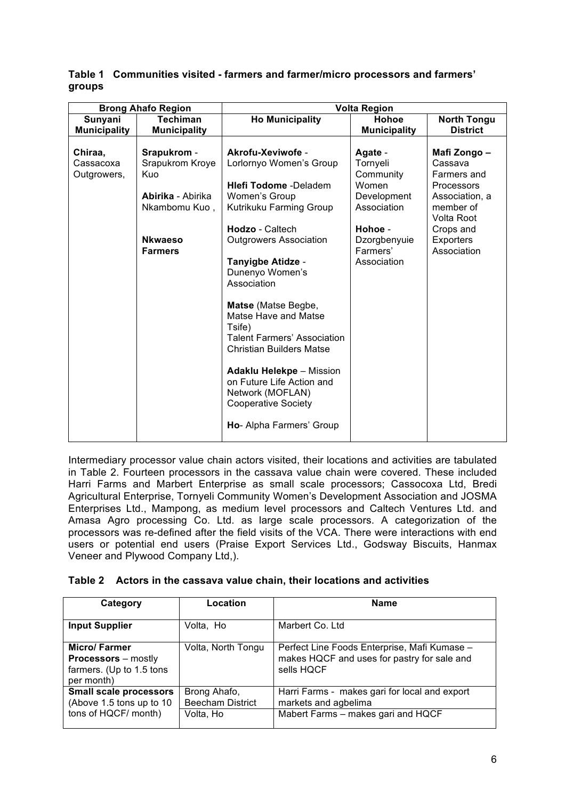#### **Table 1 Communities visited - farmers and farmer/micro processors and farmers' groups**

|                                     | <b>Brong Ahafo Region</b>                                                                                       | <b>Volta Region</b>                                                                                                                                                                                                                                                                                                                                                                                                                                                                                                 |                                                                                                                               |                                                                                                                                            |  |
|-------------------------------------|-----------------------------------------------------------------------------------------------------------------|---------------------------------------------------------------------------------------------------------------------------------------------------------------------------------------------------------------------------------------------------------------------------------------------------------------------------------------------------------------------------------------------------------------------------------------------------------------------------------------------------------------------|-------------------------------------------------------------------------------------------------------------------------------|--------------------------------------------------------------------------------------------------------------------------------------------|--|
| Sunyani                             | <b>Techiman</b>                                                                                                 | <b>Ho Municipality</b>                                                                                                                                                                                                                                                                                                                                                                                                                                                                                              | Hohoe                                                                                                                         | <b>North Tongu</b>                                                                                                                         |  |
| <b>Municipality</b>                 | <b>Municipality</b>                                                                                             |                                                                                                                                                                                                                                                                                                                                                                                                                                                                                                                     | <b>Municipality</b>                                                                                                           | <b>District</b>                                                                                                                            |  |
| Chiraa,<br>Cassacoxa<br>Outgrowers, | Srapukrom -<br>Srapukrom Kroye<br>Kuo<br>Abirika - Abirika<br>Nkambomu Kuo,<br><b>Nkwaeso</b><br><b>Farmers</b> | Akrofu-Xeviwofe -<br>Lorlornyo Women's Group<br><b>Hlefi Todome</b> -Deladem<br>Women's Group<br>Kutrikuku Farming Group<br>Hodzo - Caltech<br><b>Outgrowers Association</b><br>Tanyigbe Atidze -<br>Dunenyo Women's<br>Association<br>Matse (Matse Begbe,<br>Matse Have and Matse<br>Tsife)<br><b>Talent Farmers' Association</b><br><b>Christian Builders Matse</b><br><b>Adaklu Helekpe - Mission</b><br>on Future Life Action and<br>Network (MOFLAN)<br><b>Cooperative Society</b><br>Ho- Alpha Farmers' Group | Agate -<br>Tornyeli<br>Community<br>Women<br>Development<br>Association<br>Hohoe -<br>Dzorgbenyuie<br>Farmers'<br>Association | Mafi Zongo –<br>Cassava<br>Farmers and<br>Processors<br>Association, a<br>member of<br>Volta Root<br>Crops and<br>Exporters<br>Association |  |

Intermediary processor value chain actors visited, their locations and activities are tabulated in Table 2. Fourteen processors in the cassava value chain were covered. These included Harri Farms and Marbert Enterprise as small scale processors; Cassocoxa Ltd, Bredi Agricultural Enterprise, Tornyeli Community Women's Development Association and JOSMA Enterprises Ltd., Mampong, as medium level processors and Caltech Ventures Ltd. and Amasa Agro processing Co. Ltd. as large scale processors. A categorization of the processors was re-defined after the field visits of the VCA. There were interactions with end users or potential end users (Praise Export Services Ltd., Godsway Biscuits, Hanmax Veneer and Plywood Company Ltd,).

|  |  | Table 2 Actors in the cassava value chain, their locations and activities |  |  |  |
|--|--|---------------------------------------------------------------------------|--|--|--|
|--|--|---------------------------------------------------------------------------|--|--|--|

| Category                                                                                    | Location                                | <b>Name</b>                                                                                               |
|---------------------------------------------------------------------------------------------|-----------------------------------------|-----------------------------------------------------------------------------------------------------------|
| <b>Input Supplier</b>                                                                       | Volta, Ho                               | Marbert Co. Ltd                                                                                           |
| <b>Micro/Farmer</b><br><b>Processors</b> – mostly<br>farmers. (Up to 1.5 tons<br>per month) | Volta, North Tongu                      | Perfect Line Foods Enterprise, Mafi Kumase -<br>makes HQCF and uses for pastry for sale and<br>sells HQCF |
| <b>Small scale processors</b><br>(Above 1.5 tons up to 10                                   | Brong Ahafo,<br><b>Beecham District</b> | Harri Farms - makes gari for local and export<br>markets and agbelima                                     |
| tons of HQCF/ month)                                                                        | Volta, Ho                               | Mabert Farms - makes gari and HQCF                                                                        |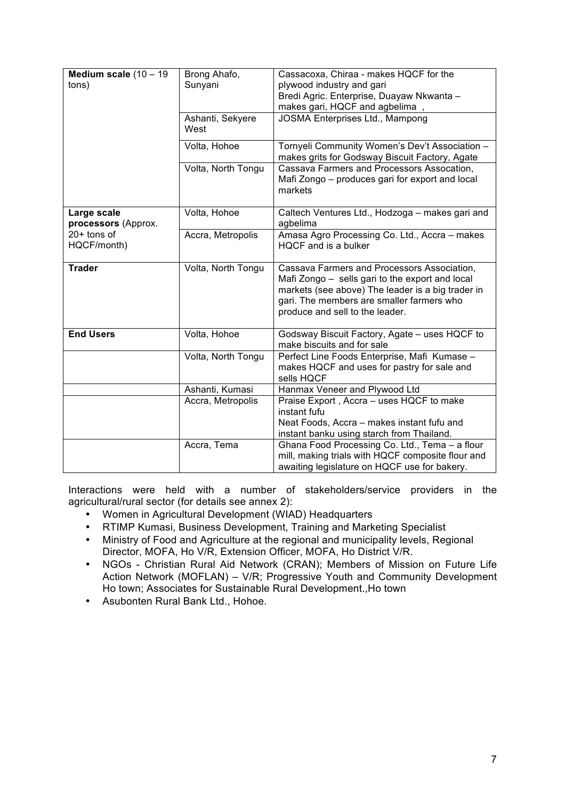| Medium scale $(10 - 19)$<br>tons)  | Brong Ahafo,<br>Sunyani<br>Ashanti, Sekyere<br>West | Cassacoxa, Chiraa - makes HQCF for the<br>plywood industry and gari<br>Bredi Agric. Enterprise, Duayaw Nkwanta -<br>makes gari, HQCF and agbelima,<br>JOSMA Enterprises Ltd., Mampong                                               |
|------------------------------------|-----------------------------------------------------|-------------------------------------------------------------------------------------------------------------------------------------------------------------------------------------------------------------------------------------|
|                                    | Volta, Hohoe                                        | Tornyeli Community Women's Dev't Association -<br>makes grits for Godsway Biscuit Factory, Agate                                                                                                                                    |
|                                    | Volta, North Tongu                                  | Cassava Farmers and Processors Assocation,<br>Mafi Zongo - produces gari for export and local<br>markets                                                                                                                            |
| Large scale<br>processors (Approx. | Volta, Hohoe                                        | Caltech Ventures Ltd., Hodzoga - makes gari and<br>agbelima                                                                                                                                                                         |
| $20+$ tons of<br>HQCF/month)       | Accra, Metropolis                                   | Amasa Agro Processing Co. Ltd., Accra - makes<br>HQCF and is a bulker                                                                                                                                                               |
| <b>Trader</b>                      | Volta, North Tongu                                  | Cassava Farmers and Processors Association,<br>Mafi Zongo - sells gari to the export and local<br>markets (see above) The leader is a big trader in<br>gari. The members are smaller farmers who<br>produce and sell to the leader. |
| <b>End Users</b>                   | Volta, Hohoe                                        | Godsway Biscuit Factory, Agate - uses HQCF to<br>make biscuits and for sale                                                                                                                                                         |
|                                    | Volta, North Tongu                                  | Perfect Line Foods Enterprise, Mafi Kumase -<br>makes HQCF and uses for pastry for sale and<br>sells HQCF                                                                                                                           |
|                                    | Ashanti, Kumasi                                     | Hanmax Veneer and Plywood Ltd                                                                                                                                                                                                       |
|                                    | Accra, Metropolis                                   | Praise Export, Accra - uses HQCF to make<br>instant fufu<br>Neat Foods, Accra - makes instant fufu and<br>instant banku using starch from Thailand.                                                                                 |
|                                    | Accra, Tema                                         | Ghana Food Processing Co. Ltd., Tema - a flour<br>mill, making trials with HQCF composite flour and<br>awaiting legislature on HQCF use for bakery.                                                                                 |

Interactions were held with a number of stakeholders/service providers in the agricultural/rural sector (for details see annex 2):

- Women in Agricultural Development (WIAD) Headquarters<br>• RTIMP Kumasi Business Development Training and Mark
- RTIMP Kumasi, Business Development, Training and Marketing Specialist
- Ministry of Food and Agriculture at the regional and municipality levels, Regional Director, MOFA, Ho V/R, Extension Officer, MOFA, Ho District V/R.
- NGOs Christian Rural Aid Network (CRAN); Members of Mission on Future Life Action Network (MOFLAN) – V/R; Progressive Youth and Community Development Ho town; Associates for Sustainable Rural Development.,Ho town
- Asubonten Rural Bank Ltd., Hohoe.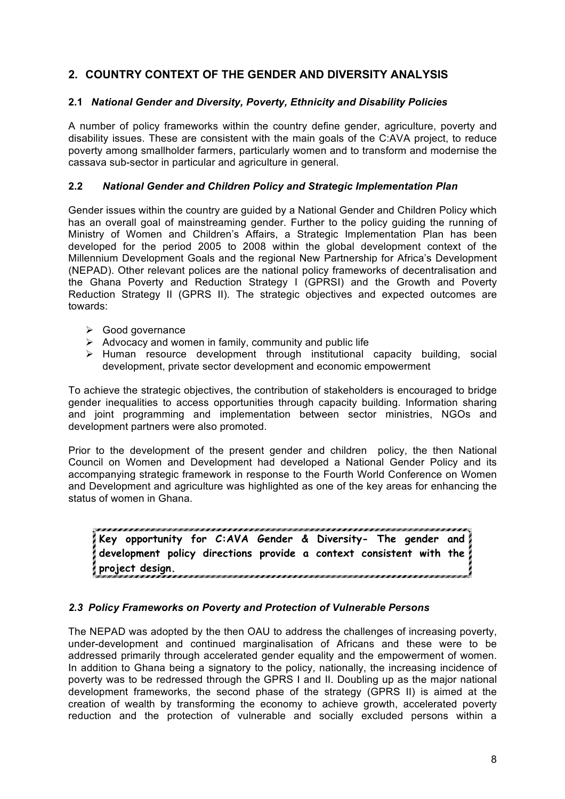# **2. COUNTRY CONTEXT OF THE GENDER AND DIVERSITY ANALYSIS**

#### **2.1** *National Gender and Diversity, Poverty, Ethnicity and Disability Policies*

A number of policy frameworks within the country define gender, agriculture, poverty and disability issues. These are consistent with the main goals of the C:AVA project, to reduce poverty among smallholder farmers, particularly women and to transform and modernise the cassava sub-sector in particular and agriculture in general.

#### **2.2** *National Gender and Children Policy and Strategic Implementation Plan*

Gender issues within the country are guided by a National Gender and Children Policy which has an overall goal of mainstreaming gender. Further to the policy guiding the running of Ministry of Women and Children's Affairs, a Strategic Implementation Plan has been developed for the period 2005 to 2008 within the global development context of the Millennium Development Goals and the regional New Partnership for Africa's Development (NEPAD). Other relevant polices are the national policy frameworks of decentralisation and the Ghana Poverty and Reduction Strategy I (GPRSI) and the Growth and Poverty Reduction Strategy II (GPRS II). The strategic objectives and expected outcomes are towards:

- $\triangleright$  Good governance
- $\triangleright$  Advocacy and women in family, community and public life
- $\triangleright$  Human resource development through institutional capacity building, social development, private sector development and economic empowerment

To achieve the strategic objectives, the contribution of stakeholders is encouraged to bridge gender inequalities to access opportunities through capacity building. Information sharing and joint programming and implementation between sector ministries, NGOs and development partners were also promoted.

Prior to the development of the present gender and children policy, the then National Council on Women and Development had developed a National Gender Policy and its accompanying strategic framework in response to the Fourth World Conference on Women and Development and agriculture was highlighted as one of the key areas for enhancing the status of women in Ghana.

**Key opportunity for C:AVA Gender & Diversity- The gender and development policy directions provide a context consistent with the project design.**

#### *2.3 Policy Frameworks on Poverty and Protection of Vulnerable Persons*

The NEPAD was adopted by the then OAU to address the challenges of increasing poverty, under-development and continued marginalisation of Africans and these were to be addressed primarily through accelerated gender equality and the empowerment of women. In addition to Ghana being a signatory to the policy, nationally, the increasing incidence of poverty was to be redressed through the GPRS I and II. Doubling up as the major national development frameworks, the second phase of the strategy (GPRS II) is aimed at the creation of wealth by transforming the economy to achieve growth, accelerated poverty reduction and the protection of vulnerable and socially excluded persons within a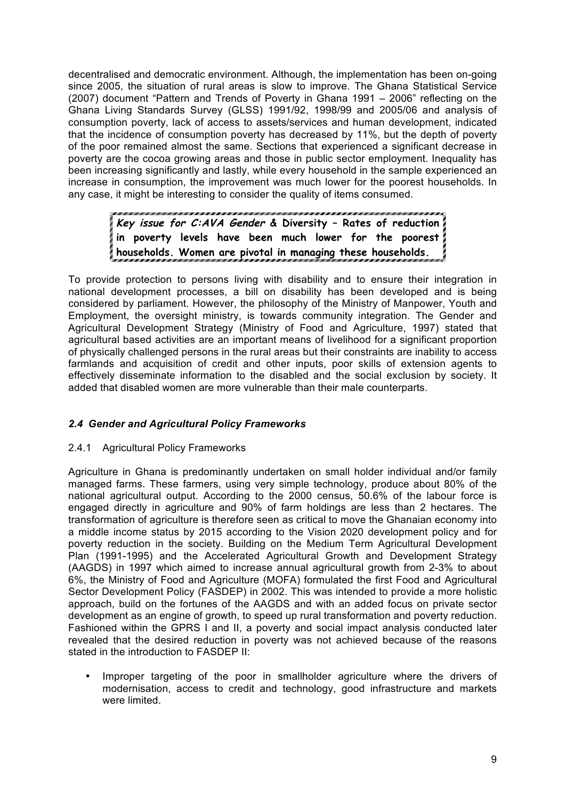decentralised and democratic environment. Although, the implementation has been on-going since 2005, the situation of rural areas is slow to improve. The Ghana Statistical Service (2007) document "Pattern and Trends of Poverty in Ghana 1991 – 2006" reflecting on the Ghana Living Standards Survey (GLSS) 1991/92, 1998/99 and 2005/06 and analysis of consumption poverty, lack of access to assets/services and human development, indicated that the incidence of consumption poverty has decreased by 11%, but the depth of poverty of the poor remained almost the same. Sections that experienced a significant decrease in poverty are the cocoa growing areas and those in public sector employment. Inequality has been increasing significantly and lastly, while every household in the sample experienced an increase in consumption, the improvement was much lower for the poorest households. In any case, it might be interesting to consider the quality of items consumed.

# **Key issue for C:AVA Gender & Diversity – Rates of reduction in poverty levels have been much lower for the poorest households. Women are pivotal in managing these households.**

To provide protection to persons living with disability and to ensure their integration in national development processes, a bill on disability has been developed and is being considered by parliament. However, the philosophy of the Ministry of Manpower, Youth and Employment, the oversight ministry, is towards community integration. The Gender and Agricultural Development Strategy (Ministry of Food and Agriculture, 1997) stated that agricultural based activities are an important means of livelihood for a significant proportion of physically challenged persons in the rural areas but their constraints are inability to access farmlands and acquisition of credit and other inputs, poor skills of extension agents to effectively disseminate information to the disabled and the social exclusion by society. It added that disabled women are more vulnerable than their male counterparts.

# *2.4 Gender and Agricultural Policy Frameworks*

# 2.4.1 Agricultural Policy Frameworks

Agriculture in Ghana is predominantly undertaken on small holder individual and/or family managed farms. These farmers, using very simple technology, produce about 80% of the national agricultural output. According to the 2000 census, 50.6% of the labour force is engaged directly in agriculture and 90% of farm holdings are less than 2 hectares. The transformation of agriculture is therefore seen as critical to move the Ghanaian economy into a middle income status by 2015 according to the Vision 2020 development policy and for poverty reduction in the society. Building on the Medium Term Agricultural Development Plan (1991-1995) and the Accelerated Agricultural Growth and Development Strategy (AAGDS) in 1997 which aimed to increase annual agricultural growth from 2-3% to about 6%, the Ministry of Food and Agriculture (MOFA) formulated the first Food and Agricultural Sector Development Policy (FASDEP) in 2002. This was intended to provide a more holistic approach, build on the fortunes of the AAGDS and with an added focus on private sector development as an engine of growth, to speed up rural transformation and poverty reduction. Fashioned within the GPRS I and II, a poverty and social impact analysis conducted later revealed that the desired reduction in poverty was not achieved because of the reasons stated in the introduction to FASDEP II:

Improper targeting of the poor in smallholder agriculture where the drivers of modernisation, access to credit and technology, good infrastructure and markets were limited.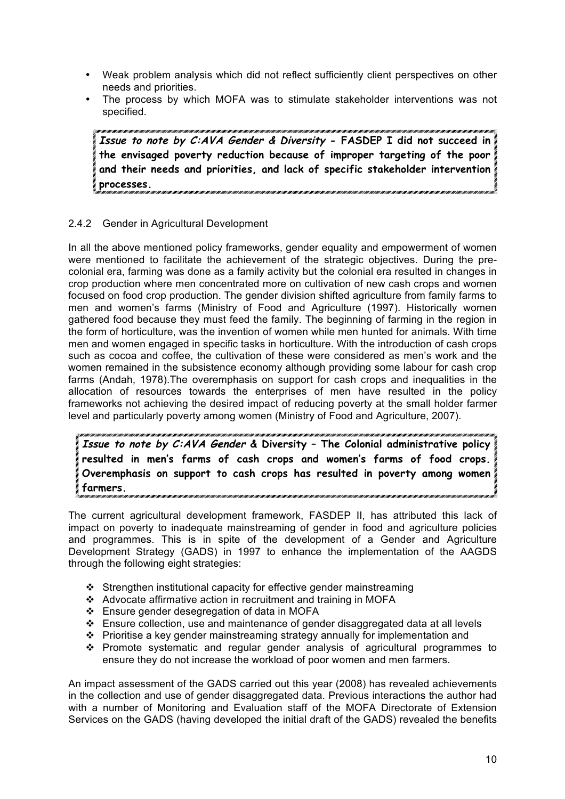- Weak problem analysis which did not reflect sufficiently client perspectives on other needs and priorities.
- The process by which MOFA was to stimulate stakeholder interventions was not specified.

**Issue to note by C:AVA Gender & Diversity - FASDEP I did not succeed in the envisaged poverty reduction because of improper targeting of the poor and their needs and priorities, and lack of specific stakeholder intervention processes.**

# 2.4.2 Gender in Agricultural Development

In all the above mentioned policy frameworks, gender equality and empowerment of women were mentioned to facilitate the achievement of the strategic objectives. During the precolonial era, farming was done as a family activity but the colonial era resulted in changes in crop production where men concentrated more on cultivation of new cash crops and women focused on food crop production. The gender division shifted agriculture from family farms to men and women's farms (Ministry of Food and Agriculture (1997). Historically women gathered food because they must feed the family. The beginning of farming in the region in the form of horticulture, was the invention of women while men hunted for animals. With time men and women engaged in specific tasks in horticulture. With the introduction of cash crops such as cocoa and coffee, the cultivation of these were considered as men's work and the women remained in the subsistence economy although providing some labour for cash crop farms (Andah, 1978).The overemphasis on support for cash crops and inequalities in the allocation of resources towards the enterprises of men have resulted in the policy frameworks not achieving the desired impact of reducing poverty at the small holder farmer level and particularly poverty among women (Ministry of Food and Agriculture, 2007).

**Issue to note by C:AVA Gender & Diversity – The Colonial administrative policy resulted in men's farms of cash crops and women's farms of food crops. Overemphasis on support to cash crops has resulted in poverty among women farmers.**

The current agricultural development framework, FASDEP II, has attributed this lack of impact on poverty to inadequate mainstreaming of gender in food and agriculture policies and programmes. This is in spite of the development of a Gender and Agriculture Development Strategy (GADS) in 1997 to enhance the implementation of the AAGDS through the following eight strategies:

- Strengthen institutional capacity for effective gender mainstreaming
- Advocate affirmative action in recruitment and training in MOFA
- Ensure gender desegregation of data in MOFA
- Ensure collection, use and maintenance of gender disaggregated data at all levels
- Prioritise a key gender mainstreaming strategy annually for implementation and
- $\div$  Promote systematic and regular gender analysis of agricultural programmes to ensure they do not increase the workload of poor women and men farmers.

An impact assessment of the GADS carried out this year (2008) has revealed achievements in the collection and use of gender disaggregated data. Previous interactions the author had with a number of Monitoring and Evaluation staff of the MOFA Directorate of Extension Services on the GADS (having developed the initial draft of the GADS) revealed the benefits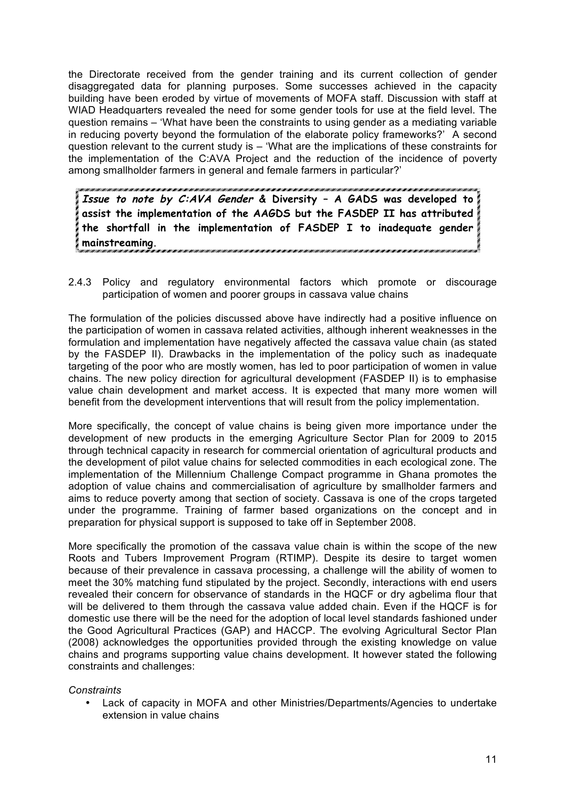the Directorate received from the gender training and its current collection of gender disaggregated data for planning purposes. Some successes achieved in the capacity building have been eroded by virtue of movements of MOFA staff. Discussion with staff at WIAD Headquarters revealed the need for some gender tools for use at the field level. The question remains – 'What have been the constraints to using gender as a mediating variable in reducing poverty beyond the formulation of the elaborate policy frameworks?' A second question relevant to the current study is – 'What are the implications of these constraints for the implementation of the C:AVA Project and the reduction of the incidence of poverty among smallholder farmers in general and female farmers in particular?'

**Issue to note by C:AVA Gender & Diversity – A GADS was developed to assist the implementation of the AAGDS but the FASDEP II has attributed the shortfall in the implementation of FASDEP I to inadequate gender mainstreaming.** 

2.4.3 Policy and regulatory environmental factors which promote or discourage participation of women and poorer groups in cassava value chains

The formulation of the policies discussed above have indirectly had a positive influence on the participation of women in cassava related activities, although inherent weaknesses in the formulation and implementation have negatively affected the cassava value chain (as stated by the FASDEP II). Drawbacks in the implementation of the policy such as inadequate targeting of the poor who are mostly women, has led to poor participation of women in value chains. The new policy direction for agricultural development (FASDEP II) is to emphasise value chain development and market access. It is expected that many more women will benefit from the development interventions that will result from the policy implementation.

More specifically, the concept of value chains is being given more importance under the development of new products in the emerging Agriculture Sector Plan for 2009 to 2015 through technical capacity in research for commercial orientation of agricultural products and the development of pilot value chains for selected commodities in each ecological zone. The implementation of the Millennium Challenge Compact programme in Ghana promotes the adoption of value chains and commercialisation of agriculture by smallholder farmers and aims to reduce poverty among that section of society. Cassava is one of the crops targeted under the programme. Training of farmer based organizations on the concept and in preparation for physical support is supposed to take off in September 2008.

More specifically the promotion of the cassava value chain is within the scope of the new Roots and Tubers Improvement Program (RTIMP). Despite its desire to target women because of their prevalence in cassava processing, a challenge will the ability of women to meet the 30% matching fund stipulated by the project. Secondly, interactions with end users revealed their concern for observance of standards in the HQCF or dry agbelima flour that will be delivered to them through the cassava value added chain. Even if the HQCF is for domestic use there will be the need for the adoption of local level standards fashioned under the Good Agricultural Practices (GAP) and HACCP. The evolving Agricultural Sector Plan (2008) acknowledges the opportunities provided through the existing knowledge on value chains and programs supporting value chains development. It however stated the following constraints and challenges:

#### *Constraints*

• Lack of capacity in MOFA and other Ministries/Departments/Agencies to undertake extension in value chains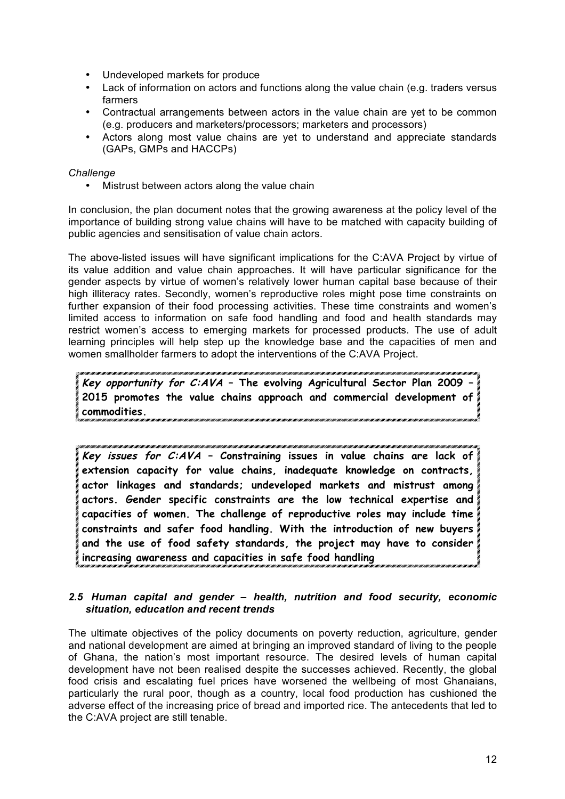- Undeveloped markets for produce
- Lack of information on actors and functions along the value chain (e.g. traders versus farmers
- Contractual arrangements between actors in the value chain are yet to be common (e.g. producers and marketers/processors; marketers and processors)
- Actors along most value chains are yet to understand and appreciate standards (GAPs, GMPs and HACCPs)

#### *Challenge*

• Mistrust between actors along the value chain

In conclusion, the plan document notes that the growing awareness at the policy level of the importance of building strong value chains will have to be matched with capacity building of public agencies and sensitisation of value chain actors.

The above-listed issues will have significant implications for the C:AVA Project by virtue of its value addition and value chain approaches. It will have particular significance for the gender aspects by virtue of women's relatively lower human capital base because of their high illiteracy rates. Secondly, women's reproductive roles might pose time constraints on further expansion of their food processing activities. These time constraints and women's limited access to information on safe food handling and food and health standards may restrict women's access to emerging markets for processed products. The use of adult learning principles will help step up the knowledge base and the capacities of men and women smallholder farmers to adopt the interventions of the C:AVA Project.

**Key opportunity for C:AVA – The evolving Agricultural Sector Plan 2009 – 2015 promotes the value chains approach and commercial development of commodities.** 

**Key issues for C:AVA – Constraining issues in value chains are lack of extension capacity for value chains, inadequate knowledge on contracts, actor linkages and standards; undeveloped markets and mistrust among actors. Gender specific constraints are the low technical expertise and capacities of women. The challenge of reproductive roles may include time constraints and safer food handling. With the introduction of new buyers and the use of food safety standards, the project may have to consider increasing awareness and capacities in safe food handling**

#### *2.5 Human capital and gender – health, nutrition and food security, economic situation, education and recent trends*

The ultimate objectives of the policy documents on poverty reduction, agriculture, gender and national development are aimed at bringing an improved standard of living to the people of Ghana, the nation's most important resource. The desired levels of human capital development have not been realised despite the successes achieved. Recently, the global food crisis and escalating fuel prices have worsened the wellbeing of most Ghanaians, particularly the rural poor, though as a country, local food production has cushioned the adverse effect of the increasing price of bread and imported rice. The antecedents that led to the C:AVA project are still tenable.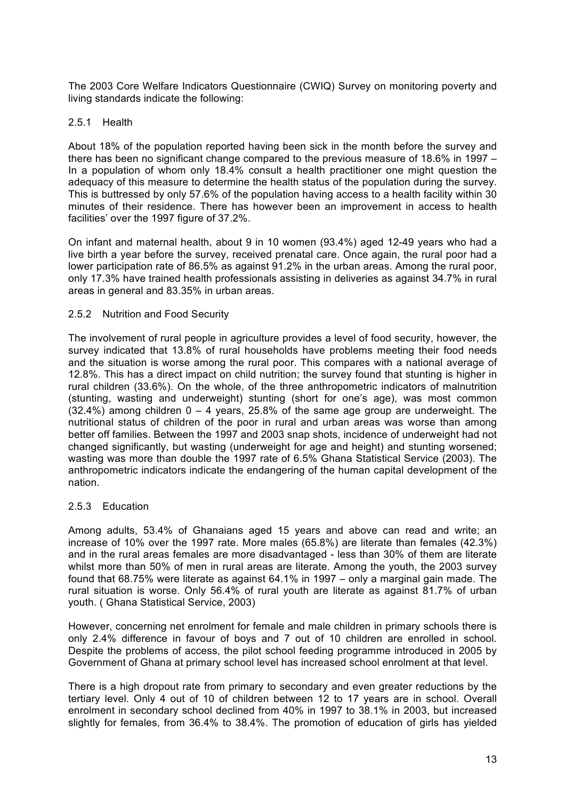The 2003 Core Welfare Indicators Questionnaire (CWIQ) Survey on monitoring poverty and living standards indicate the following:

#### 2.5.1 Health

About 18% of the population reported having been sick in the month before the survey and there has been no significant change compared to the previous measure of 18.6% in 1997 – In a population of whom only 18.4% consult a health practitioner one might question the adequacy of this measure to determine the health status of the population during the survey. This is buttressed by only 57.6% of the population having access to a health facility within 30 minutes of their residence. There has however been an improvement in access to health facilities' over the 1997 figure of 37.2%.

On infant and maternal health, about 9 in 10 women (93.4%) aged 12-49 years who had a live birth a year before the survey, received prenatal care. Once again, the rural poor had a lower participation rate of 86.5% as against 91.2% in the urban areas. Among the rural poor, only 17.3% have trained health professionals assisting in deliveries as against 34.7% in rural areas in general and 83.35% in urban areas.

#### 2.5.2 Nutrition and Food Security

The involvement of rural people in agriculture provides a level of food security, however, the survey indicated that 13.8% of rural households have problems meeting their food needs and the situation is worse among the rural poor. This compares with a national average of 12.8%. This has a direct impact on child nutrition; the survey found that stunting is higher in rural children (33.6%). On the whole, of the three anthropometric indicators of malnutrition (stunting, wasting and underweight) stunting (short for one's age), was most common  $(32.4%)$  among children  $0 - 4$  years, 25.8% of the same age group are underweight. The nutritional status of children of the poor in rural and urban areas was worse than among better off families. Between the 1997 and 2003 snap shots, incidence of underweight had not changed significantly, but wasting (underweight for age and height) and stunting worsened; wasting was more than double the 1997 rate of 6.5% Ghana Statistical Service (2003). The anthropometric indicators indicate the endangering of the human capital development of the nation.

#### 2.5.3 Education

Among adults, 53.4% of Ghanaians aged 15 years and above can read and write; an increase of 10% over the 1997 rate. More males (65.8%) are literate than females (42.3%) and in the rural areas females are more disadvantaged - less than 30% of them are literate whilst more than 50% of men in rural areas are literate. Among the youth, the 2003 survey found that 68.75% were literate as against 64.1% in 1997 – only a marginal gain made. The rural situation is worse. Only 56.4% of rural youth are literate as against 81.7% of urban youth. ( Ghana Statistical Service, 2003)

However, concerning net enrolment for female and male children in primary schools there is only 2.4% difference in favour of boys and 7 out of 10 children are enrolled in school. Despite the problems of access, the pilot school feeding programme introduced in 2005 by Government of Ghana at primary school level has increased school enrolment at that level.

There is a high dropout rate from primary to secondary and even greater reductions by the tertiary level. Only 4 out of 10 of children between 12 to 17 years are in school. Overall enrolment in secondary school declined from 40% in 1997 to 38.1% in 2003, but increased slightly for females, from 36.4% to 38.4%. The promotion of education of girls has yielded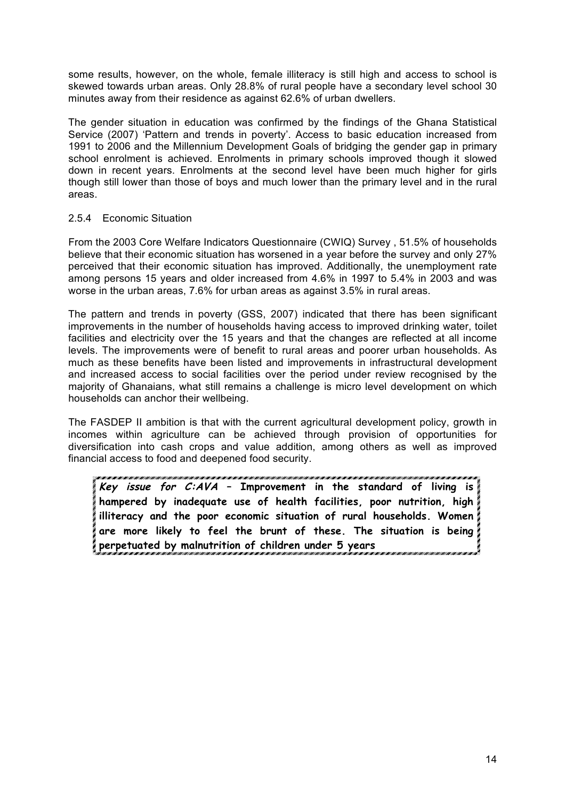some results, however, on the whole, female illiteracy is still high and access to school is skewed towards urban areas. Only 28.8% of rural people have a secondary level school 30 minutes away from their residence as against 62.6% of urban dwellers.

The gender situation in education was confirmed by the findings of the Ghana Statistical Service (2007) 'Pattern and trends in poverty'. Access to basic education increased from 1991 to 2006 and the Millennium Development Goals of bridging the gender gap in primary school enrolment is achieved. Enrolments in primary schools improved though it slowed down in recent years. Enrolments at the second level have been much higher for girls though still lower than those of boys and much lower than the primary level and in the rural areas.

#### 2.5.4 Economic Situation

From the 2003 Core Welfare Indicators Questionnaire (CWIQ) Survey , 51.5% of households believe that their economic situation has worsened in a year before the survey and only 27% perceived that their economic situation has improved. Additionally, the unemployment rate among persons 15 years and older increased from 4.6% in 1997 to 5.4% in 2003 and was worse in the urban areas, 7.6% for urban areas as against 3.5% in rural areas.

The pattern and trends in poverty (GSS, 2007) indicated that there has been significant improvements in the number of households having access to improved drinking water, toilet facilities and electricity over the 15 years and that the changes are reflected at all income levels. The improvements were of benefit to rural areas and poorer urban households. As much as these benefits have been listed and improvements in infrastructural development and increased access to social facilities over the period under review recognised by the majority of Ghanaians, what still remains a challenge is micro level development on which households can anchor their wellbeing.

The FASDEP II ambition is that with the current agricultural development policy, growth in incomes within agriculture can be achieved through provision of opportunities for diversification into cash crops and value addition, among others as well as improved financial access to food and deepened food security.

**Key issue for C:AVA – Improvement in the standard of living is hampered by inadequate use of health facilities, poor nutrition, high illiteracy and the poor economic situation of rural households. Women are more likely to feel the brunt of these. The situation is being perpetuated by malnutrition of children under 5 years**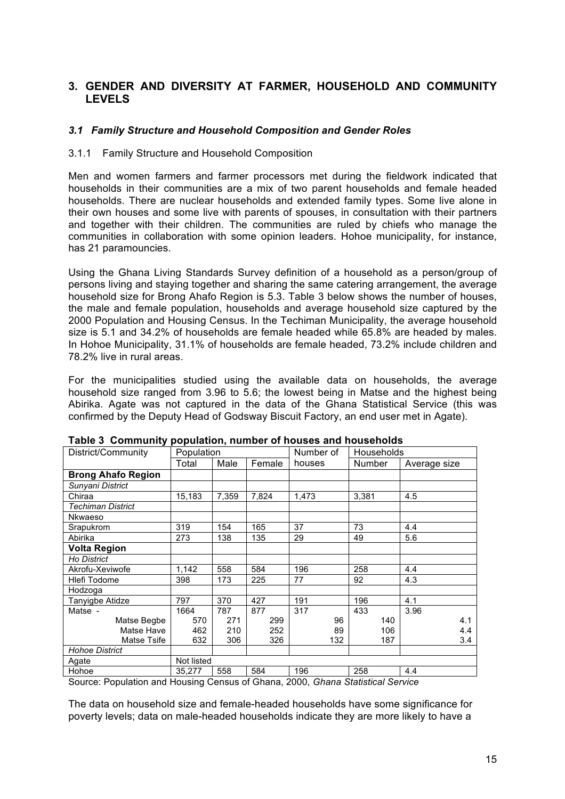# **3. GENDER AND DIVERSITY AT FARMER, HOUSEHOLD AND COMMUNITY LEVELS**

#### *3.1 Family Structure and Household Composition and Gender Roles*

#### 3.1.1 Family Structure and Household Composition

Men and women farmers and farmer processors met during the fieldwork indicated that households in their communities are a mix of two parent households and female headed households. There are nuclear households and extended family types. Some live alone in their own houses and some live with parents of spouses, in consultation with their partners and together with their children. The communities are ruled by chiefs who manage the communities in collaboration with some opinion leaders. Hohoe municipality, for instance, has 21 paramouncies.

Using the Ghana Living Standards Survey definition of a household as a person/group of persons living and staying together and sharing the same catering arrangement, the average household size for Brong Ahafo Region is 5.3. Table 3 below shows the number of houses, the male and female population, households and average household size captured by the 2000 Population and Housing Census. In the Techiman Municipality, the average household size is 5.1 and 34.2% of households are female headed while 65.8% are headed by males. In Hohoe Municipality, 31.1% of households are female headed, 73.2% include children and 78.2% live in rural areas.

For the municipalities studied using the available data on households, the average household size ranged from 3.96 to 5.6; the lowest being in Matse and the highest being Abirika. Agate was not captured in the data of the Ghana Statistical Service (this was confirmed by the Deputy Head of Godsway Biscuit Factory, an end user met in Agate).

| District/Community        | Population |       |        | Number of | Households |              |
|---------------------------|------------|-------|--------|-----------|------------|--------------|
|                           | Total      | Male  | Female | houses    | Number     | Average size |
| <b>Brong Ahafo Region</b> |            |       |        |           |            |              |
| Sunyani District          |            |       |        |           |            |              |
| Chiraa                    | 15,183     | 7,359 | 7,824  | 1,473     | 3,381      | 4.5          |
| <b>Techiman District</b>  |            |       |        |           |            |              |
| Nkwaeso                   |            |       |        |           |            |              |
| Srapukrom                 | 319        | 154   | 165    | 37        | 73         | 4.4          |
| Abirika                   | 273        | 138   | 135    | 29        | 49         | 5.6          |
| <b>Volta Region</b>       |            |       |        |           |            |              |
| Ho District               |            |       |        |           |            |              |
| Akrofu-Xeviwofe           | 1,142      | 558   | 584    | 196       | 258        | 4.4          |
| Hlefi Todome              | 398        | 173   | 225    | 77        | 92         | 4.3          |
| Hodzoga                   |            |       |        |           |            |              |
| Tanyigbe Atidze           | 797        | 370   | 427    | 191       | 196        | 4.1          |
| Matse -                   | 1664       | 787   | 877    | 317       | 433        | 3.96         |
| Matse Begbe               | 570        | 271   | 299    | 96        | 140        | 4.1          |
| Matse Have                | 462        | 210   | 252    | 89        | 106        | 4.4          |
| Matse Tsife               | 632        | 306   | 326    | 132       | 187        | 3.4          |
| <b>Hohoe District</b>     |            |       |        |           |            |              |
| Agate                     | Not listed |       |        |           |            |              |
| Hohoe                     | 35.277     | 558   | 584    | 196       | 258        | 4.4          |

**Table 3 Community population, number of houses and households**

Source: Population and Housing Census of Ghana, 2000, *Ghana Statistical Service*

The data on household size and female-headed households have some significance for poverty levels; data on male-headed households indicate they are more likely to have a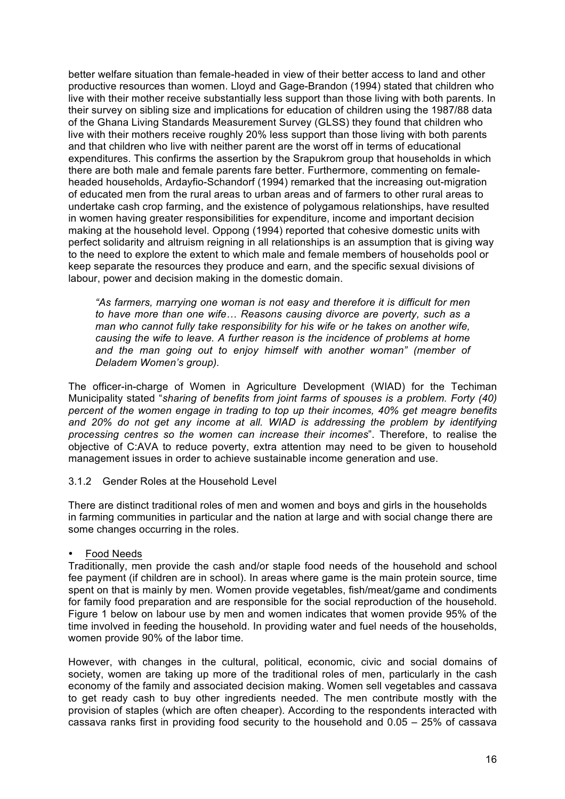better welfare situation than female-headed in view of their better access to land and other productive resources than women. Lloyd and Gage-Brandon (1994) stated that children who live with their mother receive substantially less support than those living with both parents. In their survey on sibling size and implications for education of children using the 1987/88 data of the Ghana Living Standards Measurement Survey (GLSS) they found that children who live with their mothers receive roughly 20% less support than those living with both parents and that children who live with neither parent are the worst off in terms of educational expenditures. This confirms the assertion by the Srapukrom group that households in which there are both male and female parents fare better. Furthermore, commenting on femaleheaded households, Ardayfio-Schandorf (1994) remarked that the increasing out-migration of educated men from the rural areas to urban areas and of farmers to other rural areas to undertake cash crop farming, and the existence of polygamous relationships, have resulted in women having greater responsibilities for expenditure, income and important decision making at the household level. Oppong (1994) reported that cohesive domestic units with perfect solidarity and altruism reigning in all relationships is an assumption that is giving way to the need to explore the extent to which male and female members of households pool or keep separate the resources they produce and earn, and the specific sexual divisions of labour, power and decision making in the domestic domain.

*"As farmers, marrying one woman is not easy and therefore it is difficult for men to have more than one wife… Reasons causing divorce are poverty, such as a man who cannot fully take responsibility for his wife or he takes on another wife, causing the wife to leave. A further reason is the incidence of problems at home and the man going out to enjoy himself with another woman" (member of Deladem Women's group).* 

The officer-in-charge of Women in Agriculture Development (WIAD) for the Techiman Municipality stated "*sharing of benefits from joint farms of spouses is a problem. Forty (40) percent of the women engage in trading to top up their incomes, 40% get meagre benefits and 20% do not get any income at all. WIAD is addressing the problem by identifying processing centres so the women can increase their incomes*". Therefore, to realise the objective of C:AVA to reduce poverty, extra attention may need to be given to household management issues in order to achieve sustainable income generation and use.

#### 3.1.2 Gender Roles at the Household Level

There are distinct traditional roles of men and women and boys and girls in the households in farming communities in particular and the nation at large and with social change there are some changes occurring in the roles.

#### • Food Needs

Traditionally, men provide the cash and/or staple food needs of the household and school fee payment (if children are in school). In areas where game is the main protein source, time spent on that is mainly by men. Women provide vegetables, fish/meat/game and condiments for family food preparation and are responsible for the social reproduction of the household. Figure 1 below on labour use by men and women indicates that women provide 95% of the time involved in feeding the household. In providing water and fuel needs of the households, women provide 90% of the labor time.

However, with changes in the cultural, political, economic, civic and social domains of society, women are taking up more of the traditional roles of men, particularly in the cash economy of the family and associated decision making. Women sell vegetables and cassava to get ready cash to buy other ingredients needed. The men contribute mostly with the provision of staples (which are often cheaper). According to the respondents interacted with cassava ranks first in providing food security to the household and 0.05 – 25% of cassava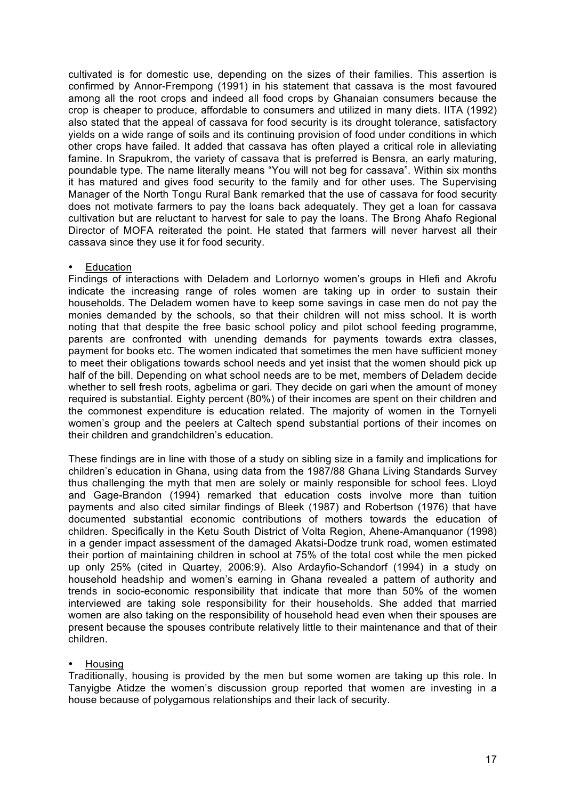cultivated is for domestic use, depending on the sizes of their families. This assertion is confirmed by Annor-Frempong (1991) in his statement that cassava is the most favoured among all the root crops and indeed all food crops by Ghanaian consumers because the crop is cheaper to produce, affordable to consumers and utilized in many diets. IITA (1992) also stated that the appeal of cassava for food security is its drought tolerance, satisfactory yields on a wide range of soils and its continuing provision of food under conditions in which other crops have failed. It added that cassava has often played a critical role in alleviating famine. In Srapukrom, the variety of cassava that is preferred is Bensra, an early maturing, poundable type. The name literally means "You will not beg for cassava". Within six months it has matured and gives food security to the family and for other uses. The Supervising Manager of the North Tongu Rural Bank remarked that the use of cassava for food security does not motivate farmers to pay the loans back adequately. They get a loan for cassava cultivation but are reluctant to harvest for sale to pay the loans. The Brong Ahafo Regional Director of MOFA reiterated the point. He stated that farmers will never harvest all their cassava since they use it for food security.

#### **Education**

Findings of interactions with Deladem and Lorlornyo women's groups in Hlefi and Akrofu indicate the increasing range of roles women are taking up in order to sustain their households. The Deladem women have to keep some savings in case men do not pay the monies demanded by the schools, so that their children will not miss school. It is worth noting that that despite the free basic school policy and pilot school feeding programme, parents are confronted with unending demands for payments towards extra classes, payment for books etc. The women indicated that sometimes the men have sufficient money to meet their obligations towards school needs and yet insist that the women should pick up half of the bill. Depending on what school needs are to be met, members of Deladem decide whether to sell fresh roots, agbelima or gari. They decide on gari when the amount of money required is substantial. Eighty percent (80%) of their incomes are spent on their children and the commonest expenditure is education related. The majority of women in the Tornyeli women's group and the peelers at Caltech spend substantial portions of their incomes on their children and grandchildren's education.

These findings are in line with those of a study on sibling size in a family and implications for children's education in Ghana, using data from the 1987/88 Ghana Living Standards Survey thus challenging the myth that men are solely or mainly responsible for school fees. Lloyd and Gage-Brandon (1994) remarked that education costs involve more than tuition payments and also cited similar findings of Bleek (1987) and Robertson (1976) that have documented substantial economic contributions of mothers towards the education of children. Specifically in the Ketu South District of Volta Region, Ahene-Amanquanor (1998) in a gender impact assessment of the damaged Akatsi-Dodze trunk road, women estimated their portion of maintaining children in school at 75% of the total cost while the men picked up only 25% (cited in Quartey, 2006:9). Also Ardayfio-Schandorf (1994) in a study on household headship and women's earning in Ghana revealed a pattern of authority and trends in socio-economic responsibility that indicate that more than 50% of the women interviewed are taking sole responsibility for their households. She added that married women are also taking on the responsibility of household head even when their spouses are present because the spouses contribute relatively little to their maintenance and that of their children.

#### • Housing

Traditionally, housing is provided by the men but some women are taking up this role. In Tanyigbe Atidze the women's discussion group reported that women are investing in a house because of polygamous relationships and their lack of security.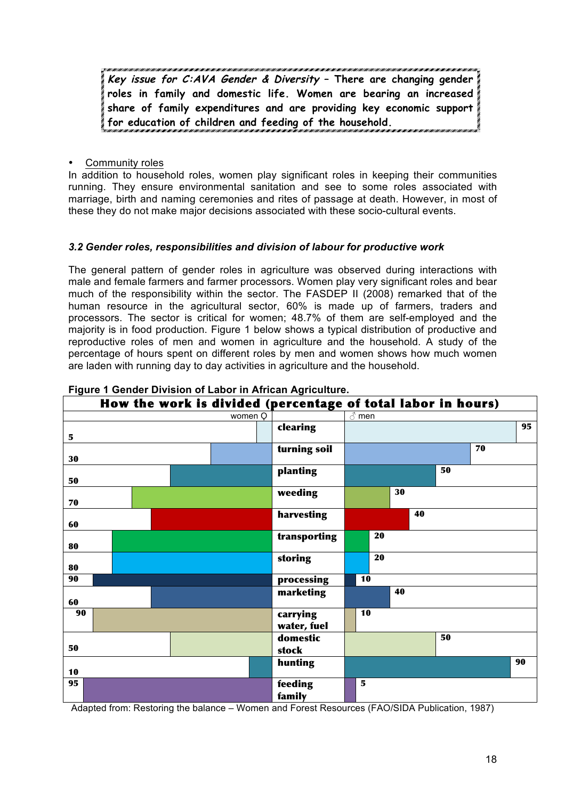**Key issue for C:AVA Gender & Diversity – There are changing gender roles in family and domestic life. Women are bearing an increased share of family expenditures and are providing key economic support for education of children and feeding of the household.** 

• Community roles

In addition to household roles, women play significant roles in keeping their communities running. They ensure environmental sanitation and see to some roles associated with marriage, birth and naming ceremonies and rites of passage at death. However, in most of these they do not make major decisions associated with these socio-cultural events.

#### *3.2 Gender roles, responsibilities and division of labour for productive work*

The general pattern of gender roles in agriculture was observed during interactions with male and female farmers and farmer processors. Women play very significant roles and bear much of the responsibility within the sector. The FASDEP II (2008) remarked that of the human resource in the agricultural sector, 60% is made up of farmers, traders and processors. The sector is critical for women; 48.7% of them are self-employed and the majority is in food production. Figure 1 below shows a typical distribution of productive and reproductive roles of men and women in agriculture and the household. A study of the percentage of hours spent on different roles by men and women shows how much women are laden with running day to day activities in agriculture and the household.

| How the work is divided (percentage of total labor in hours) |         |                         |    |    |    |              |    |    |  |
|--------------------------------------------------------------|---------|-------------------------|----|----|----|--------------|----|----|--|
|                                                              | women Q |                         |    |    |    | $\delta$ men |    |    |  |
| 5                                                            |         | clearing                |    |    |    |              |    | 95 |  |
| 30                                                           |         | turning soil            |    |    |    |              | 70 |    |  |
| 50                                                           |         | planting                |    |    |    | 50           |    |    |  |
| 70                                                           |         | weeding                 |    | 30 |    |              |    |    |  |
| 60                                                           |         | harvesting              |    |    | 40 |              |    |    |  |
| 80                                                           |         | transporting            |    | 20 |    |              |    |    |  |
| 80                                                           |         | storing                 |    | 20 |    |              |    |    |  |
| 90                                                           |         | processing              | 10 |    |    |              |    |    |  |
| 60                                                           |         | marketing               |    | 40 |    |              |    |    |  |
| 90                                                           |         | carrying<br>water, fuel | 10 |    |    |              |    |    |  |
| 50                                                           |         | domestic<br>stock       |    |    |    | 50           |    |    |  |
| 10                                                           |         | hunting                 |    |    |    |              |    | 90 |  |
| 95                                                           |         | feeding<br>family       | 5  |    |    |              |    |    |  |

#### **Figure 1 Gender Division of Labor in African Agriculture.**

Adapted from: Restoring the balance – Women and Forest Resources (FAO/SIDA Publication, 1987)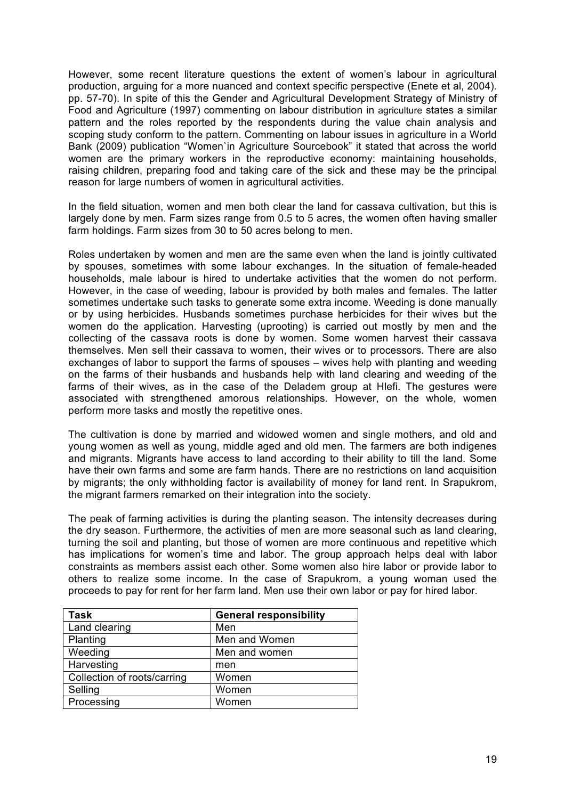However, some recent literature questions the extent of women's labour in agricultural production, arguing for a more nuanced and context specific perspective (Enete et al, 2004). pp. 57-70). In spite of this the Gender and Agricultural Development Strategy of Ministry of Food and Agriculture (1997) commenting on labour distribution in agriculture states a similar pattern and the roles reported by the respondents during the value chain analysis and scoping study conform to the pattern. Commenting on labour issues in agriculture in a World Bank (2009) publication "Women`in Agriculture Sourcebook" it stated that across the world women are the primary workers in the reproductive economy: maintaining households, raising children, preparing food and taking care of the sick and these may be the principal reason for large numbers of women in agricultural activities.

In the field situation, women and men both clear the land for cassava cultivation, but this is largely done by men. Farm sizes range from 0.5 to 5 acres, the women often having smaller farm holdings. Farm sizes from 30 to 50 acres belong to men.

Roles undertaken by women and men are the same even when the land is jointly cultivated by spouses, sometimes with some labour exchanges. In the situation of female-headed households, male labour is hired to undertake activities that the women do not perform. However, in the case of weeding, labour is provided by both males and females. The latter sometimes undertake such tasks to generate some extra income. Weeding is done manually or by using herbicides. Husbands sometimes purchase herbicides for their wives but the women do the application. Harvesting (uprooting) is carried out mostly by men and the collecting of the cassava roots is done by women. Some women harvest their cassava themselves. Men sell their cassava to women, their wives or to processors. There are also exchanges of labor to support the farms of spouses – wives help with planting and weeding on the farms of their husbands and husbands help with land clearing and weeding of the farms of their wives, as in the case of the Deladem group at Hlefi. The gestures were associated with strengthened amorous relationships. However, on the whole, women perform more tasks and mostly the repetitive ones.

The cultivation is done by married and widowed women and single mothers, and old and young women as well as young, middle aged and old men. The farmers are both indigenes and migrants. Migrants have access to land according to their ability to till the land. Some have their own farms and some are farm hands. There are no restrictions on land acquisition by migrants; the only withholding factor is availability of money for land rent. In Srapukrom, the migrant farmers remarked on their integration into the society.

The peak of farming activities is during the planting season. The intensity decreases during the dry season. Furthermore, the activities of men are more seasonal such as land clearing, turning the soil and planting, but those of women are more continuous and repetitive which has implications for women's time and labor. The group approach helps deal with labor constraints as members assist each other. Some women also hire labor or provide labor to others to realize some income. In the case of Srapukrom, a young woman used the proceeds to pay for rent for her farm land. Men use their own labor or pay for hired labor.

| <b>Task</b>                 | <b>General responsibility</b> |
|-----------------------------|-------------------------------|
| Land clearing               | Men                           |
| Planting                    | Men and Women                 |
| Weeding                     | Men and women                 |
| Harvesting                  | men                           |
| Collection of roots/carring | Women                         |
| Selling                     | Women                         |
| Processing                  | Women                         |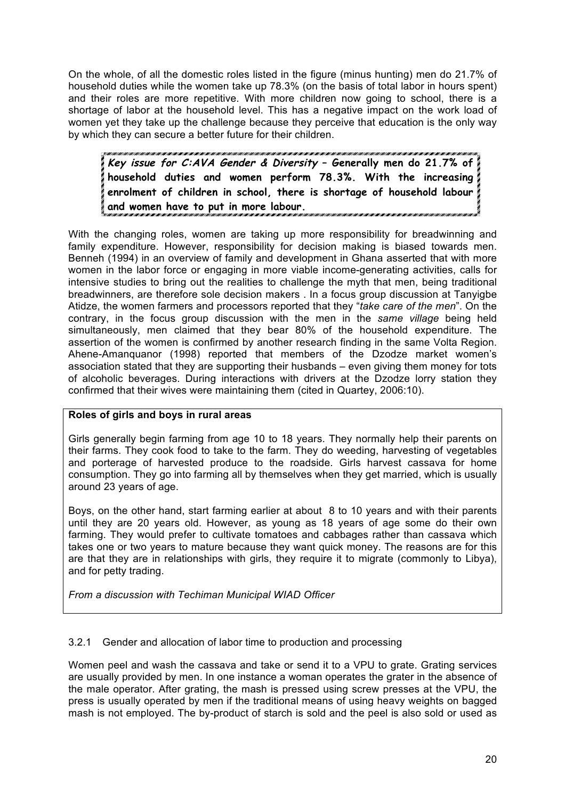On the whole, of all the domestic roles listed in the figure (minus hunting) men do 21.7% of household duties while the women take up 78.3% (on the basis of total labor in hours spent) and their roles are more repetitive. With more children now going to school, there is a shortage of labor at the household level. This has a negative impact on the work load of women yet they take up the challenge because they perceive that education is the only way by which they can secure a better future for their children.

**Key issue for C:AVA Gender & Diversity – Generally men do 21.7% of household duties and women perform 78.3%. With the increasing enrolment of children in school, there is shortage of household labour and women have to put in more labour.** 

With the changing roles, women are taking up more responsibility for breadwinning and family expenditure. However, responsibility for decision making is biased towards men. Benneh (1994) in an overview of family and development in Ghana asserted that with more women in the labor force or engaging in more viable income-generating activities, calls for intensive studies to bring out the realities to challenge the myth that men, being traditional breadwinners, are therefore sole decision makers . In a focus group discussion at Tanyigbe Atidze, the women farmers and processors reported that they "*take care of the men*". On the contrary, in the focus group discussion with the men in the *same village* being held simultaneously, men claimed that they bear 80% of the household expenditure. The assertion of the women is confirmed by another research finding in the same Volta Region. Ahene-Amanquanor (1998) reported that members of the Dzodze market women's association stated that they are supporting their husbands – even giving them money for tots of alcoholic beverages. During interactions with drivers at the Dzodze lorry station they confirmed that their wives were maintaining them (cited in Quartey, 2006:10).

# **Roles of girls and boys in rural areas**

Girls generally begin farming from age 10 to 18 years. They normally help their parents on their farms. They cook food to take to the farm. They do weeding, harvesting of vegetables and porterage of harvested produce to the roadside. Girls harvest cassava for home consumption. They go into farming all by themselves when they get married, which is usually around 23 years of age.

Boys, on the other hand, start farming earlier at about 8 to 10 years and with their parents until they are 20 years old. However, as young as 18 years of age some do their own farming. They would prefer to cultivate tomatoes and cabbages rather than cassava which takes one or two years to mature because they want quick money. The reasons are for this are that they are in relationships with girls, they require it to migrate (commonly to Libya). and for petty trading.

*From a discussion with Techiman Municipal WIAD Officer*

# 3.2.1 Gender and allocation of labor time to production and processing

Women peel and wash the cassava and take or send it to a VPU to grate. Grating services are usually provided by men. In one instance a woman operates the grater in the absence of the male operator. After grating, the mash is pressed using screw presses at the VPU, the press is usually operated by men if the traditional means of using heavy weights on bagged mash is not employed. The by-product of starch is sold and the peel is also sold or used as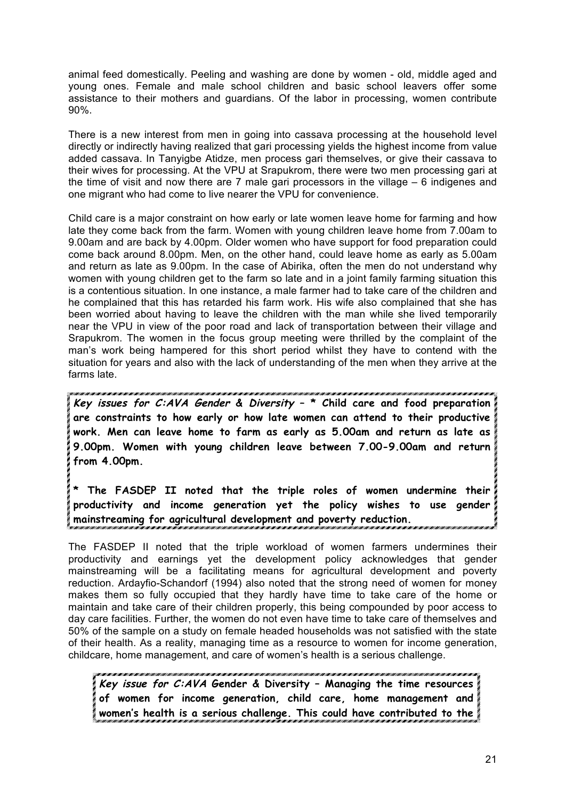animal feed domestically. Peeling and washing are done by women - old, middle aged and young ones. Female and male school children and basic school leavers offer some assistance to their mothers and guardians. Of the labor in processing, women contribute 90%.

There is a new interest from men in going into cassava processing at the household level directly or indirectly having realized that gari processing yields the highest income from value added cassava. In Tanyigbe Atidze, men process gari themselves, or give their cassava to their wives for processing. At the VPU at Srapukrom, there were two men processing gari at the time of visit and now there are 7 male gari processors in the village – 6 indigenes and one migrant who had come to live nearer the VPU for convenience.

Child care is a major constraint on how early or late women leave home for farming and how late they come back from the farm. Women with young children leave home from 7.00am to 9.00am and are back by 4.00pm. Older women who have support for food preparation could come back around 8.00pm. Men, on the other hand, could leave home as early as 5.00am and return as late as 9.00pm. In the case of Abirika, often the men do not understand why women with young children get to the farm so late and in a joint family farming situation this is a contentious situation. In one instance, a male farmer had to take care of the children and he complained that this has retarded his farm work. His wife also complained that she has been worried about having to leave the children with the man while she lived temporarily near the VPU in view of the poor road and lack of transportation between their village and Srapukrom. The women in the focus group meeting were thrilled by the complaint of the man's work being hampered for this short period whilst they have to contend with the situation for years and also with the lack of understanding of the men when they arrive at the farms late.

**Key issues for C:AVA Gender & Diversity – \* Child care and food preparation are constraints to how early or how late women can attend to their productive work. Men can leave home to farm as early as 5.00am and return as late as 9.00pm. Women with young children leave between 7.00-9.00am and return from 4.00pm.**

**\* The FASDEP II noted that the triple roles of women undermine their productivity and income generation yet the policy wishes to use gender mainstreaming for agricultural development and poverty reduction.**

The FASDEP II noted that the triple workload of women farmers undermines their productivity and earnings yet the development policy acknowledges that gender mainstreaming will be a facilitating means for agricultural development and poverty reduction. Ardayfio-Schandorf (1994) also noted that the strong need of women for money makes them so fully occupied that they hardly have time to take care of the home or maintain and take care of their children properly, this being compounded by poor access to day care facilities. Further, the women do not even have time to take care of themselves and 50% of the sample on a study on female headed households was not satisfied with the state of their health. As a reality, managing time as a resource to women for income generation, childcare, home management, and care of women's health is a serious challenge.

**Key issue for C:AVA Gender & Diversity – Managing the time resources of women for income generation, child care, home management and women's health is a serious challenge. This could have contributed to the**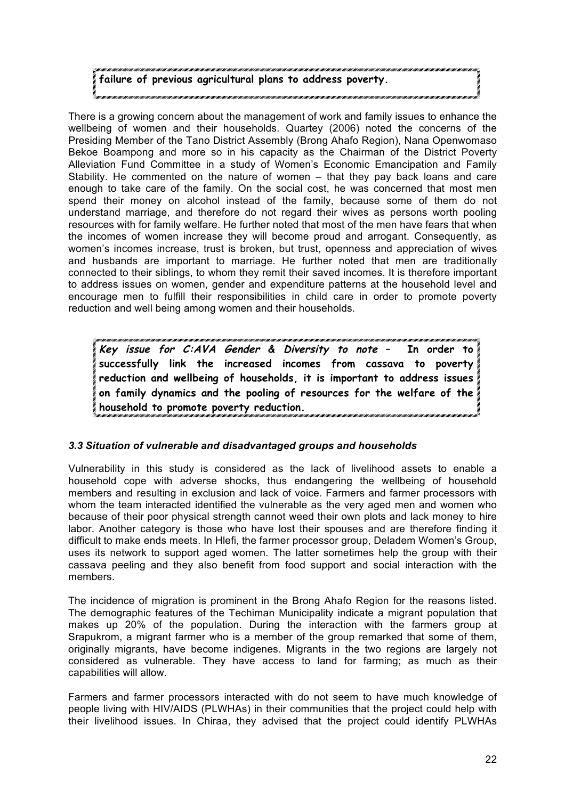# **failure of previous agricultural plans to address poverty.**

There is a growing concern about the management of work and family issues to enhance the wellbeing of women and their households. Quartey (2006) noted the concerns of the Presiding Member of the Tano District Assembly (Brong Ahafo Region), Nana Openwomaso Bekoe Boampong and more so in his capacity as the Chairman of the District Poverty Alleviation Fund Committee in a study of Women's Economic Emancipation and Family Stability. He commented on the nature of women – that they pay back loans and care enough to take care of the family. On the social cost, he was concerned that most men spend their money on alcohol instead of the family, because some of them do not understand marriage, and therefore do not regard their wives as persons worth pooling resources with for family welfare. He further noted that most of the men have fears that when the incomes of women increase they will become proud and arrogant. Consequently, as women's incomes increase, trust is broken, but trust, openness and appreciation of wives and husbands are important to marriage. He further noted that men are traditionally connected to their siblings, to whom they remit their saved incomes. It is therefore important to address issues on women, gender and expenditure patterns at the household level and encourage men to fulfill their responsibilities in child care in order to promote poverty reduction and well being among women and their households.

**Key issue for C:AVA Gender & Diversity to note – In order to successfully link the increased incomes from cassava to poverty reduction and wellbeing of households, it is important to address issues on family dynamics and the pooling of resources for the welfare of the household to promote poverty reduction.** 

# *3.3 Situation of vulnerable and disadvantaged groups and households*

Vulnerability in this study is considered as the lack of livelihood assets to enable a household cope with adverse shocks, thus endangering the wellbeing of household members and resulting in exclusion and lack of voice. Farmers and farmer processors with whom the team interacted identified the vulnerable as the very aged men and women who because of their poor physical strength cannot weed their own plots and lack money to hire labor. Another category is those who have lost their spouses and are therefore finding it difficult to make ends meets. In Hlefi, the farmer processor group, Deladem Women's Group, uses its network to support aged women. The latter sometimes help the group with their cassava peeling and they also benefit from food support and social interaction with the members.

The incidence of migration is prominent in the Brong Ahafo Region for the reasons listed. The demographic features of the Techiman Municipality indicate a migrant population that makes up 20% of the population. During the interaction with the farmers group at Srapukrom, a migrant farmer who is a member of the group remarked that some of them, originally migrants, have become indigenes. Migrants in the two regions are largely not considered as vulnerable. They have access to land for farming; as much as their capabilities will allow.

Farmers and farmer processors interacted with do not seem to have much knowledge of people living with HIV/AIDS (PLWHAs) in their communities that the project could help with their livelihood issues. In Chiraa, they advised that the project could identify PLWHAs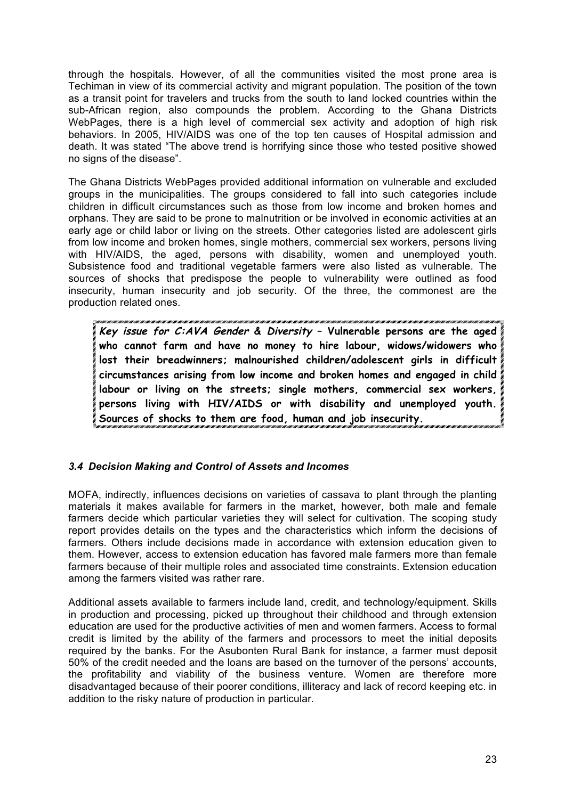through the hospitals. However, of all the communities visited the most prone area is Techiman in view of its commercial activity and migrant population. The position of the town as a transit point for travelers and trucks from the south to land locked countries within the sub-African region, also compounds the problem. According to the Ghana Districts WebPages, there is a high level of commercial sex activity and adoption of high risk behaviors. In 2005, HIV/AIDS was one of the top ten causes of Hospital admission and death. It was stated "The above trend is horrifying since those who tested positive showed no signs of the disease".

The Ghana Districts WebPages provided additional information on vulnerable and excluded groups in the municipalities. The groups considered to fall into such categories include children in difficult circumstances such as those from low income and broken homes and orphans. They are said to be prone to malnutrition or be involved in economic activities at an early age or child labor or living on the streets. Other categories listed are adolescent girls from low income and broken homes, single mothers, commercial sex workers, persons living with HIV/AIDS, the aged, persons with disability, women and unemployed youth. Subsistence food and traditional vegetable farmers were also listed as vulnerable. The sources of shocks that predispose the people to vulnerability were outlined as food insecurity, human insecurity and job security. Of the three, the commonest are the production related ones.

**Key issue for C:AVA Gender & Diversity – Vulnerable persons are the aged who cannot farm and have no money to hire labour, widows/widowers who lost their breadwinners; malnourished children/adolescent girls in difficult circumstances arising from low income and broken homes and engaged in child labour or living on the streets; single mothers, commercial sex workers, persons living with HIV/AIDS or with disability and unemployed youth. Sources of shocks to them are food, human and job insecurity.**

# *3.4 Decision Making and Control of Assets and Incomes*

MOFA, indirectly, influences decisions on varieties of cassava to plant through the planting materials it makes available for farmers in the market, however, both male and female farmers decide which particular varieties they will select for cultivation. The scoping study report provides details on the types and the characteristics which inform the decisions of farmers. Others include decisions made in accordance with extension education given to them. However, access to extension education has favored male farmers more than female farmers because of their multiple roles and associated time constraints. Extension education among the farmers visited was rather rare.

Additional assets available to farmers include land, credit, and technology/equipment. Skills in production and processing, picked up throughout their childhood and through extension education are used for the productive activities of men and women farmers. Access to formal credit is limited by the ability of the farmers and processors to meet the initial deposits required by the banks. For the Asubonten Rural Bank for instance, a farmer must deposit 50% of the credit needed and the loans are based on the turnover of the persons' accounts, the profitability and viability of the business venture. Women are therefore more disadvantaged because of their poorer conditions, illiteracy and lack of record keeping etc. in addition to the risky nature of production in particular.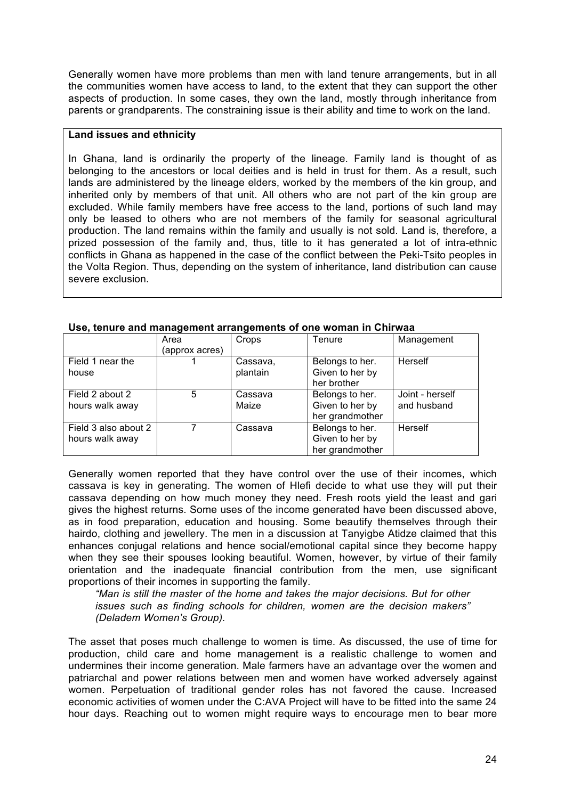Generally women have more problems than men with land tenure arrangements, but in all the communities women have access to land, to the extent that they can support the other aspects of production. In some cases, they own the land, mostly through inheritance from parents or grandparents. The constraining issue is their ability and time to work on the land.

#### **Land issues and ethnicity**

In Ghana, land is ordinarily the property of the lineage. Family land is thought of as belonging to the ancestors or local deities and is held in trust for them. As a result, such lands are administered by the lineage elders, worked by the members of the kin group, and inherited only by members of that unit. All others who are not part of the kin group are excluded. While family members have free access to the land, portions of such land may only be leased to others who are not members of the family for seasonal agricultural production. The land remains within the family and usually is not sold. Land is, therefore, a prized possession of the family and, thus, title to it has generated a lot of intra-ethnic conflicts in Ghana as happened in the case of the conflict between the Peki-Tsito peoples in the Volta Region. Thus, depending on the system of inheritance, land distribution can cause severe exclusion.

|                      | Area           | Crops    | Tenure          | Management      |
|----------------------|----------------|----------|-----------------|-----------------|
|                      | (approx acres) |          |                 |                 |
| Field 1 near the     |                | Cassava, | Belongs to her. | Herself         |
| house                |                | plantain | Given to her by |                 |
|                      |                |          | her brother     |                 |
| Field 2 about 2      | 5              | Cassava  | Belongs to her. | Joint - herself |
| hours walk away      |                | Maize    | Given to her by | and husband     |
|                      |                |          | her grandmother |                 |
| Field 3 also about 2 |                | Cassava  | Belongs to her. | <b>Herself</b>  |
| hours walk away      |                |          | Given to her by |                 |
|                      |                |          | her grandmother |                 |

#### **Use, tenure and management arrangements of one woman in Chirwaa**

Generally women reported that they have control over the use of their incomes, which cassava is key in generating. The women of Hlefi decide to what use they will put their cassava depending on how much money they need. Fresh roots yield the least and gari gives the highest returns. Some uses of the income generated have been discussed above, as in food preparation, education and housing. Some beautify themselves through their hairdo, clothing and jewellery. The men in a discussion at Tanyigbe Atidze claimed that this enhances conjugal relations and hence social/emotional capital since they become happy when they see their spouses looking beautiful. Women, however, by virtue of their family orientation and the inadequate financial contribution from the men, use significant proportions of their incomes in supporting the family.

*"Man is still the master of the home and takes the major decisions. But for other issues such as finding schools for children, women are the decision makers" (Deladem Women's Group).*

The asset that poses much challenge to women is time. As discussed, the use of time for production, child care and home management is a realistic challenge to women and undermines their income generation. Male farmers have an advantage over the women and patriarchal and power relations between men and women have worked adversely against women. Perpetuation of traditional gender roles has not favored the cause. Increased economic activities of women under the C:AVA Project will have to be fitted into the same 24 hour days. Reaching out to women might require ways to encourage men to bear more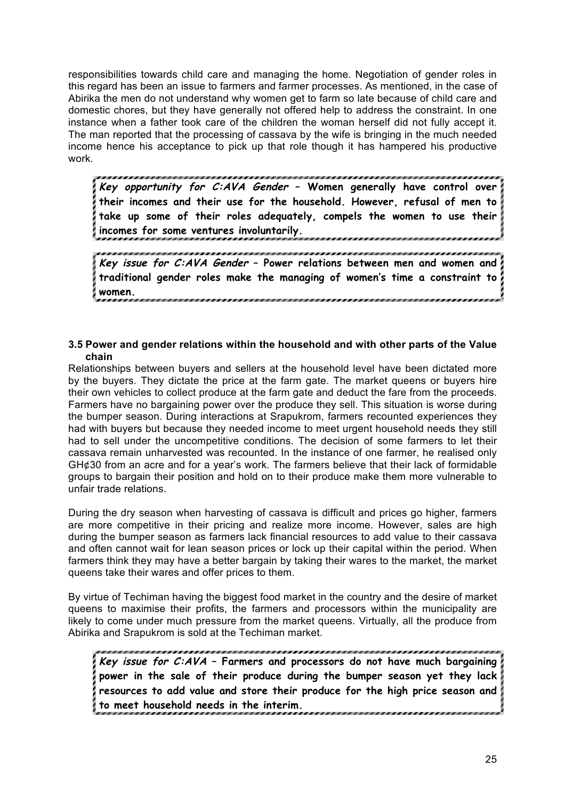responsibilities towards child care and managing the home. Negotiation of gender roles in this regard has been an issue to farmers and farmer processes. As mentioned, in the case of Abirika the men do not understand why women get to farm so late because of child care and domestic chores, but they have generally not offered help to address the constraint. In one instance when a father took care of the children the woman herself did not fully accept it. The man reported that the processing of cassava by the wife is bringing in the much needed income hence his acceptance to pick up that role though it has hampered his productive work.

**Key opportunity for C:AVA Gender – Women generally have control over their incomes and their use for the household. However, refusal of men to take up some of their roles adequately, compels the women to use their incomes for some ventures involuntarily.** 

**Key issue for C:AVA Gender – Power relations between men and women and traditional gender roles make the managing of women's time a constraint to women.** 

#### **3.5 Power and gender relations within the household and with other parts of the Value chain**

Relationships between buyers and sellers at the household level have been dictated more by the buyers. They dictate the price at the farm gate. The market queens or buyers hire their own vehicles to collect produce at the farm gate and deduct the fare from the proceeds. Farmers have no bargaining power over the produce they sell. This situation is worse during the bumper season. During interactions at Srapukrom, farmers recounted experiences they had with buyers but because they needed income to meet urgent household needs they still had to sell under the uncompetitive conditions. The decision of some farmers to let their cassava remain unharvested was recounted. In the instance of one farmer, he realised only GH¢30 from an acre and for a year's work. The farmers believe that their lack of formidable groups to bargain their position and hold on to their produce make them more vulnerable to unfair trade relations.

During the dry season when harvesting of cassava is difficult and prices go higher, farmers are more competitive in their pricing and realize more income. However, sales are high during the bumper season as farmers lack financial resources to add value to their cassava and often cannot wait for lean season prices or lock up their capital within the period. When farmers think they may have a better bargain by taking their wares to the market, the market queens take their wares and offer prices to them.

By virtue of Techiman having the biggest food market in the country and the desire of market queens to maximise their profits, the farmers and processors within the municipality are likely to come under much pressure from the market queens. Virtually, all the produce from Abirika and Srapukrom is sold at the Techiman market.

**Key issue for C:AVA – Farmers and processors do not have much bargaining power in the sale of their produce during the bumper season yet they lack resources to add value and store their produce for the high price season and to meet household needs in the interim.**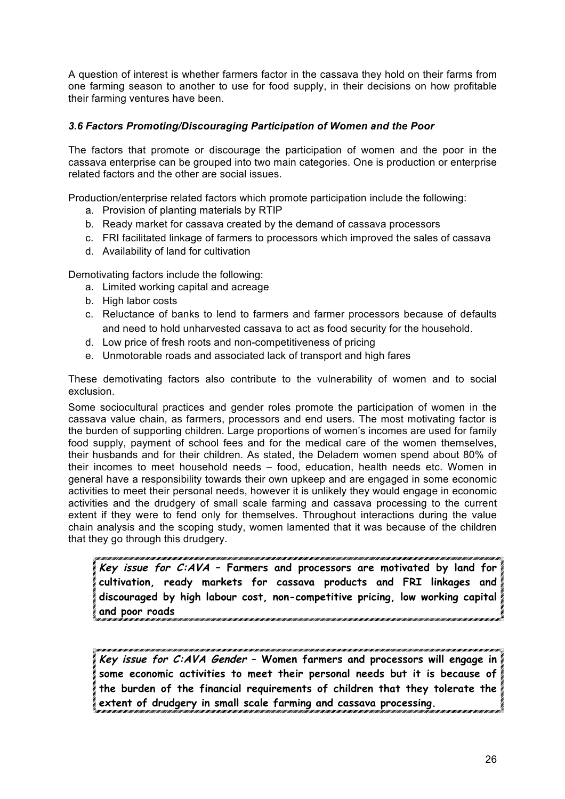A question of interest is whether farmers factor in the cassava they hold on their farms from one farming season to another to use for food supply, in their decisions on how profitable their farming ventures have been.

### *3.6 Factors Promoting/Discouraging Participation of Women and the Poor*

The factors that promote or discourage the participation of women and the poor in the cassava enterprise can be grouped into two main categories. One is production or enterprise related factors and the other are social issues.

Production/enterprise related factors which promote participation include the following:

- a. Provision of planting materials by RTIP
- b. Ready market for cassava created by the demand of cassava processors
- c. FRI facilitated linkage of farmers to processors which improved the sales of cassava
- d. Availability of land for cultivation

Demotivating factors include the following:

- a. Limited working capital and acreage
- b. High labor costs
- c. Reluctance of banks to lend to farmers and farmer processors because of defaults and need to hold unharvested cassava to act as food security for the household.
- d. Low price of fresh roots and non-competitiveness of pricing
- e. Unmotorable roads and associated lack of transport and high fares

These demotivating factors also contribute to the vulnerability of women and to social exclusion.

Some sociocultural practices and gender roles promote the participation of women in the cassava value chain, as farmers, processors and end users. The most motivating factor is the burden of supporting children. Large proportions of women's incomes are used for family food supply, payment of school fees and for the medical care of the women themselves, their husbands and for their children. As stated, the Deladem women spend about 80% of their incomes to meet household needs – food, education, health needs etc. Women in general have a responsibility towards their own upkeep and are engaged in some economic activities to meet their personal needs, however it is unlikely they would engage in economic activities and the drudgery of small scale farming and cassava processing to the current extent if they were to fend only for themselves. Throughout interactions during the value chain analysis and the scoping study, women lamented that it was because of the children that they go through this drudgery.

**Key issue for C:AVA – Farmers and processors are motivated by land for cultivation, ready markets for cassava products and FRI linkages and discouraged by high labour cost, non-competitive pricing, low working capital and poor roads** 

**Key issue for C:AVA Gender – Women farmers and processors will engage in some economic activities to meet their personal needs but it is because of the burden of the financial requirements of children that they tolerate the extent of drudgery in small scale farming and cassava processing.**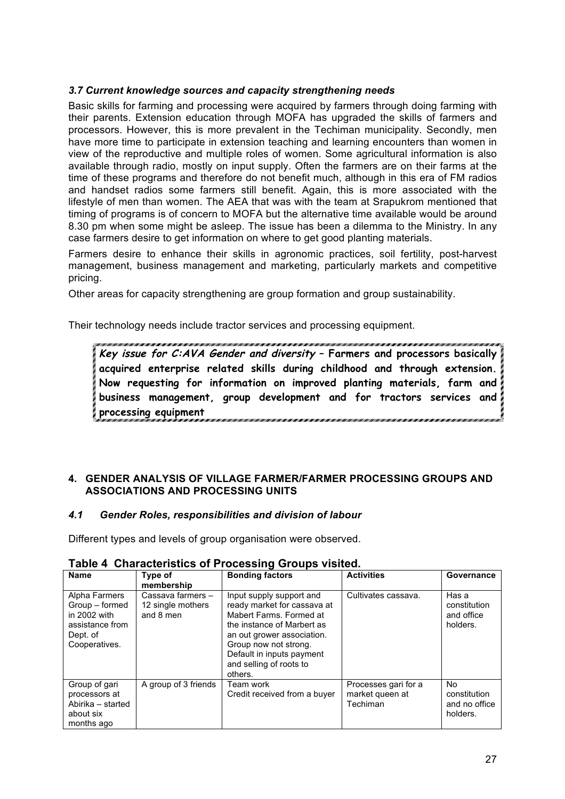#### *3.7 Current knowledge sources and capacity strengthening needs*

Basic skills for farming and processing were acquired by farmers through doing farming with their parents. Extension education through MOFA has upgraded the skills of farmers and processors. However, this is more prevalent in the Techiman municipality. Secondly, men have more time to participate in extension teaching and learning encounters than women in view of the reproductive and multiple roles of women. Some agricultural information is also available through radio, mostly on input supply. Often the farmers are on their farms at the time of these programs and therefore do not benefit much, although in this era of FM radios and handset radios some farmers still benefit. Again, this is more associated with the lifestyle of men than women. The AEA that was with the team at Srapukrom mentioned that timing of programs is of concern to MOFA but the alternative time available would be around 8.30 pm when some might be asleep. The issue has been a dilemma to the Ministry. In any case farmers desire to get information on where to get good planting materials.

Farmers desire to enhance their skills in agronomic practices, soil fertility, post-harvest management, business management and marketing, particularly markets and competitive pricing.

Other areas for capacity strengthening are group formation and group sustainability.

Their technology needs include tractor services and processing equipment.

**Key issue for C:AVA Gender and diversity – Farmers and processors basically acquired enterprise related skills during childhood and through extension. Now requesting for information on improved planting materials, farm and business management, group development and for tractors services and processing equipment**

#### **4. GENDER ANALYSIS OF VILLAGE FARMER/FARMER PROCESSING GROUPS AND ASSOCIATIONS AND PROCESSING UNITS**

#### *4.1 Gender Roles, responsibilities and division of labour*

Different types and levels of group organisation were observed.

| <b>Name</b>                                                                                     | Type of<br>membership                               | <b>Bonding factors</b>                                                                                                                                                                                                                     | <b>Activities</b>                                   | Governance                                       |  |  |  |  |  |
|-------------------------------------------------------------------------------------------------|-----------------------------------------------------|--------------------------------------------------------------------------------------------------------------------------------------------------------------------------------------------------------------------------------------------|-----------------------------------------------------|--------------------------------------------------|--|--|--|--|--|
| Alpha Farmers<br>Group – formed<br>in 2002 with<br>assistance from<br>Dept. of<br>Cooperatives. | Cassava farmers -<br>12 single mothers<br>and 8 men | Input supply support and<br>ready market for cassava at<br>Mabert Farms, Formed at<br>the instance of Marbert as<br>an out grower association.<br>Group now not strong.<br>Default in inputs payment<br>and selling of roots to<br>others. | Cultivates cassava.                                 | Has a<br>constitution<br>and office<br>holders.  |  |  |  |  |  |
| Group of gari<br>processors at<br>Abirika - started<br>about six<br>months ago                  | A group of 3 friends                                | Team work<br>Credit received from a buyer                                                                                                                                                                                                  | Processes gari for a<br>market queen at<br>Techiman | No.<br>constitution<br>and no office<br>holders. |  |  |  |  |  |

#### **Table 4 Characteristics of Processing Groups visited.**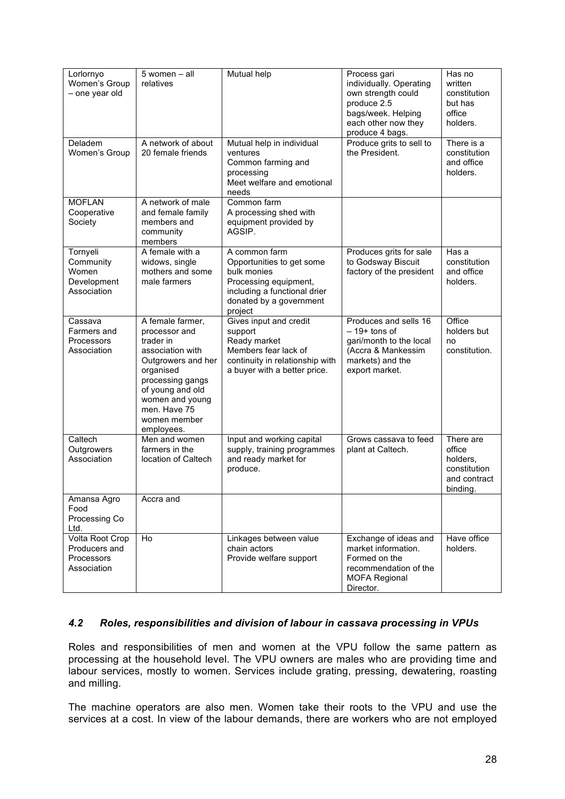| Lorlornyo<br>Women's Group<br>- one year old                  | 5 women - all<br>relatives                                                                                                                                                                                     | Mutual help                                                                                                                                              | Process gari<br>individually. Operating<br>own strength could<br>produce 2.5<br>bags/week. Helping<br>each other now they<br>produce 4 bags. | Has no<br>written<br>constitution<br>but has<br>office<br>holders.          |
|---------------------------------------------------------------|----------------------------------------------------------------------------------------------------------------------------------------------------------------------------------------------------------------|----------------------------------------------------------------------------------------------------------------------------------------------------------|----------------------------------------------------------------------------------------------------------------------------------------------|-----------------------------------------------------------------------------|
| Deladem<br>Women's Group                                      | A network of about<br>20 female friends                                                                                                                                                                        | Mutual help in individual<br>ventures<br>Common farming and<br>processing<br>Meet welfare and emotional<br>needs                                         | Produce grits to sell to<br>the President.                                                                                                   | There is a<br>constitution<br>and office<br>holders.                        |
| <b>MOFLAN</b><br>Cooperative<br>Society                       | A network of male<br>and female family<br>members and<br>community<br>members                                                                                                                                  | Common farm<br>A processing shed with<br>equipment provided by<br>AGSIP.                                                                                 |                                                                                                                                              |                                                                             |
| Tornyeli<br>Community<br>Women<br>Development<br>Association  | A female with a<br>widows, single<br>mothers and some<br>male farmers                                                                                                                                          | A common farm<br>Opportunities to get some<br>bulk monies<br>Processing equipment,<br>including a functional drier<br>donated by a government<br>project | Produces grits for sale<br>to Godsway Biscuit<br>factory of the president                                                                    | Has a<br>constitution<br>and office<br>holders.                             |
| Cassava<br>Farmers and<br>Processors<br>Association           | A female farmer,<br>processor and<br>trader in<br>association with<br>Outgrowers and her<br>organised<br>processing gangs<br>of young and old<br>women and young<br>men. Have 75<br>women member<br>employees. | Gives input and credit<br>support<br>Ready market<br>Members fear lack of<br>continuity in relationship with<br>a buyer with a better price.             | Produces and sells 16<br>$-19+$ tons of<br>gari/month to the local<br>(Accra & Mankessim<br>markets) and the<br>export market.               | Office<br>holders but<br>no<br>constitution.                                |
| Caltech<br>Outgrowers<br>Association                          | Men and women<br>farmers in the<br>location of Caltech                                                                                                                                                         | Input and working capital<br>supply, training programmes<br>and ready market for<br>produce.                                                             | Grows cassava to feed<br>plant at Caltech.                                                                                                   | There are<br>office<br>holders,<br>constitution<br>and contract<br>binding. |
| Amansa Agro<br>Food<br>Processing Co<br>Ltd.                  | Accra and                                                                                                                                                                                                      |                                                                                                                                                          |                                                                                                                                              |                                                                             |
| Volta Root Crop<br>Producers and<br>Processors<br>Association | Ho                                                                                                                                                                                                             | Linkages between value<br>chain actors<br>Provide welfare support                                                                                        | Exchange of ideas and<br>market information.<br>Formed on the<br>recommendation of the<br><b>MOFA Regional</b><br>Director.                  | Have office<br>holders.                                                     |

#### *4.2 Roles, responsibilities and division of labour in cassava processing in VPUs*

Roles and responsibilities of men and women at the VPU follow the same pattern as processing at the household level. The VPU owners are males who are providing time and labour services, mostly to women. Services include grating, pressing, dewatering, roasting and milling.

The machine operators are also men. Women take their roots to the VPU and use the services at a cost. In view of the labour demands, there are workers who are not employed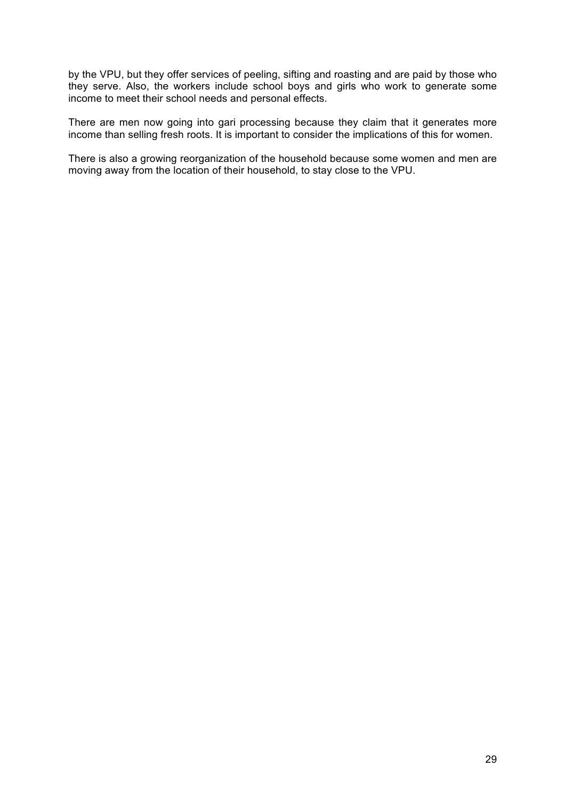by the VPU, but they offer services of peeling, sifting and roasting and are paid by those who they serve. Also, the workers include school boys and girls who work to generate some income to meet their school needs and personal effects.

There are men now going into gari processing because they claim that it generates more income than selling fresh roots. It is important to consider the implications of this for women.

There is also a growing reorganization of the household because some women and men are moving away from the location of their household, to stay close to the VPU.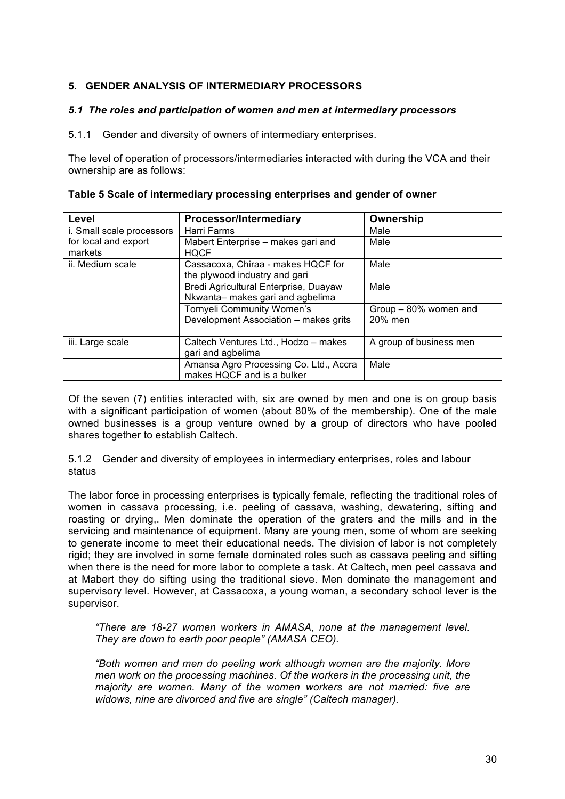### **5. GENDER ANALYSIS OF INTERMEDIARY PROCESSORS**

#### *5.1 The roles and participation of women and men at intermediary processors*

5.1.1 Gender and diversity of owners of intermediary enterprises.

The level of operation of processors/intermediaries interacted with during the VCA and their ownership are as follows:

| Level                     | <b>Processor/Intermediary</b>          | Ownership               |  |  |
|---------------------------|----------------------------------------|-------------------------|--|--|
| i. Small scale processors | Harri Farms                            | Male                    |  |  |
| for local and export      | Mabert Enterprise - makes gari and     | Male                    |  |  |
| markets                   | <b>HOCF</b>                            |                         |  |  |
| ii. Medium scale          | Cassacoxa, Chiraa - makes HQCF for     | Male                    |  |  |
|                           | the plywood industry and gari          |                         |  |  |
|                           | Bredi Agricultural Enterprise, Duayaw  | Male                    |  |  |
|                           | Nkwanta- makes gari and agbelima       |                         |  |  |
|                           | Tornyeli Community Women's             | Group - 80% women and   |  |  |
|                           | Development Association - makes grits  | 20% men                 |  |  |
|                           |                                        |                         |  |  |
| iii. Large scale          | Caltech Ventures Ltd., Hodzo - makes   | A group of business men |  |  |
|                           | gari and agbelima                      |                         |  |  |
|                           | Amansa Agro Processing Co. Ltd., Accra | Male                    |  |  |
|                           | makes HQCF and is a bulker             |                         |  |  |

| Table 5 Scale of intermediary processing enterprises and gender of owner |  |  |  |
|--------------------------------------------------------------------------|--|--|--|
|                                                                          |  |  |  |

Of the seven (7) entities interacted with, six are owned by men and one is on group basis with a significant participation of women (about 80% of the membership). One of the male owned businesses is a group venture owned by a group of directors who have pooled shares together to establish Caltech.

5.1.2 Gender and diversity of employees in intermediary enterprises, roles and labour status

The labor force in processing enterprises is typically female, reflecting the traditional roles of women in cassava processing, i.e. peeling of cassava, washing, dewatering, sifting and roasting or drying,. Men dominate the operation of the graters and the mills and in the servicing and maintenance of equipment. Many are young men, some of whom are seeking to generate income to meet their educational needs. The division of labor is not completely rigid; they are involved in some female dominated roles such as cassava peeling and sifting when there is the need for more labor to complete a task. At Caltech, men peel cassava and at Mabert they do sifting using the traditional sieve. Men dominate the management and supervisory level. However, at Cassacoxa, a young woman, a secondary school lever is the supervisor.

*"There are 18-27 women workers in AMASA, none at the management level. They are down to earth poor people" (AMASA CEO).*

*"Both women and men do peeling work although women are the majority. More men work on the processing machines. Of the workers in the processing unit, the majority are women. Many of the women workers are not married: five are widows, nine are divorced and five are single" (Caltech manager).*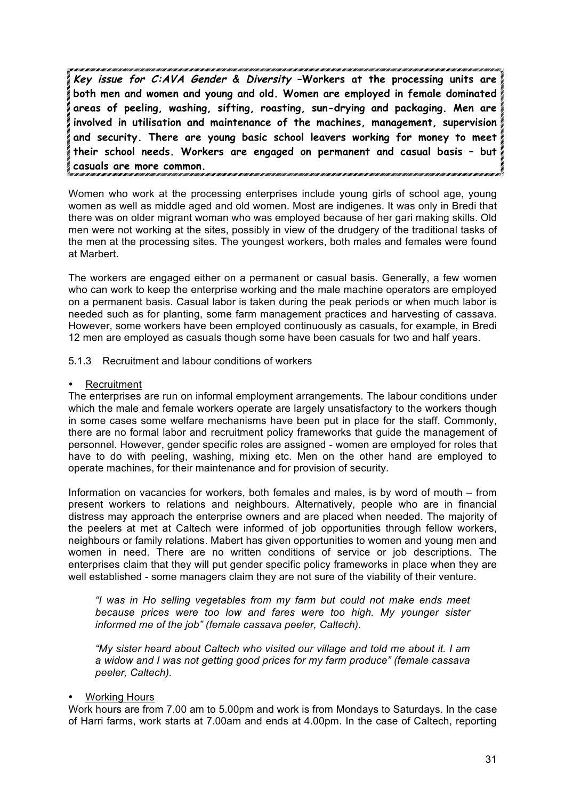**Key issue for C:AVA Gender & Diversity –Workers at the processing units are both men and women and young and old. Women are employed in female dominated areas of peeling, washing, sifting, roasting, sun-drying and packaging. Men are involved in utilisation and maintenance of the machines, management, supervision and security. There are young basic school leavers working for money to meet their school needs. Workers are engaged on permanent and casual basis – but casuals are more common.** 

Women who work at the processing enterprises include young girls of school age, young women as well as middle aged and old women. Most are indigenes. It was only in Bredi that there was on older migrant woman who was employed because of her gari making skills. Old men were not working at the sites, possibly in view of the drudgery of the traditional tasks of the men at the processing sites. The youngest workers, both males and females were found at Marbert.

The workers are engaged either on a permanent or casual basis. Generally, a few women who can work to keep the enterprise working and the male machine operators are employed on a permanent basis. Casual labor is taken during the peak periods or when much labor is needed such as for planting, some farm management practices and harvesting of cassava. However, some workers have been employed continuously as casuals, for example, in Bredi 12 men are employed as casuals though some have been casuals for two and half years.

#### 5.1.3 Recruitment and labour conditions of workers

#### **Recruitment**

The enterprises are run on informal employment arrangements. The labour conditions under which the male and female workers operate are largely unsatisfactory to the workers though in some cases some welfare mechanisms have been put in place for the staff. Commonly, there are no formal labor and recruitment policy frameworks that guide the management of personnel. However, gender specific roles are assigned - women are employed for roles that have to do with peeling, washing, mixing etc. Men on the other hand are employed to operate machines, for their maintenance and for provision of security.

Information on vacancies for workers, both females and males, is by word of mouth – from present workers to relations and neighbours. Alternatively, people who are in financial distress may approach the enterprise owners and are placed when needed. The majority of the peelers at met at Caltech were informed of job opportunities through fellow workers, neighbours or family relations. Mabert has given opportunities to women and young men and women in need. There are no written conditions of service or job descriptions. The enterprises claim that they will put gender specific policy frameworks in place when they are well established - some managers claim they are not sure of the viability of their venture.

*"I was in Ho selling vegetables from my farm but could not make ends meet because prices were too low and fares were too high. My younger sister informed me of the job" (female cassava peeler, Caltech).* 

*"My sister heard about Caltech who visited our village and told me about it. I am a widow and I was not getting good prices for my farm produce" (female cassava peeler, Caltech).* 

#### • Working Hours

Work hours are from 7.00 am to 5.00pm and work is from Mondays to Saturdays. In the case of Harri farms, work starts at 7.00am and ends at 4.00pm. In the case of Caltech, reporting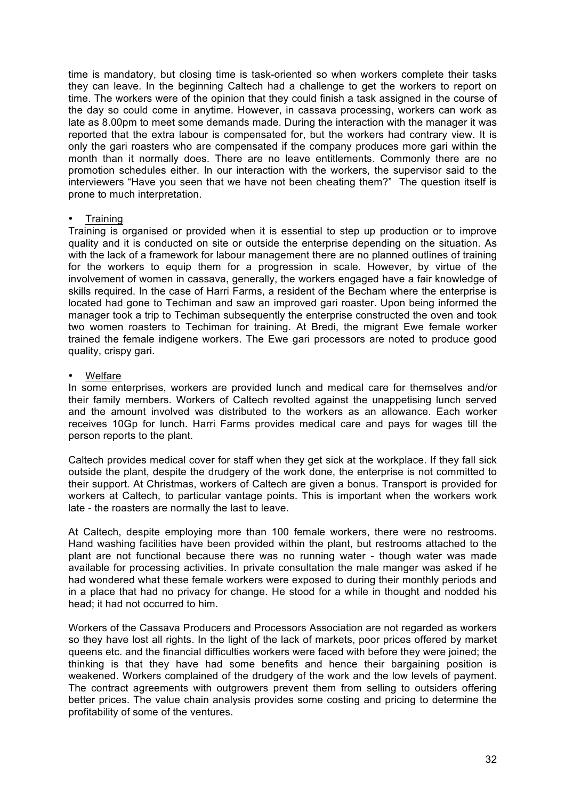time is mandatory, but closing time is task-oriented so when workers complete their tasks they can leave. In the beginning Caltech had a challenge to get the workers to report on time. The workers were of the opinion that they could finish a task assigned in the course of the day so could come in anytime. However, in cassava processing, workers can work as late as 8.00pm to meet some demands made. During the interaction with the manager it was reported that the extra labour is compensated for, but the workers had contrary view. It is only the gari roasters who are compensated if the company produces more gari within the month than it normally does. There are no leave entitlements. Commonly there are no promotion schedules either. In our interaction with the workers, the supervisor said to the interviewers "Have you seen that we have not been cheating them?" The question itself is prone to much interpretation.

#### **Training**

Training is organised or provided when it is essential to step up production or to improve quality and it is conducted on site or outside the enterprise depending on the situation. As with the lack of a framework for labour management there are no planned outlines of training for the workers to equip them for a progression in scale. However, by virtue of the involvement of women in cassava, generally, the workers engaged have a fair knowledge of skills required. In the case of Harri Farms, a resident of the Becham where the enterprise is located had gone to Techiman and saw an improved gari roaster. Upon being informed the manager took a trip to Techiman subsequently the enterprise constructed the oven and took two women roasters to Techiman for training. At Bredi, the migrant Ewe female worker trained the female indigene workers. The Ewe gari processors are noted to produce good quality, crispy gari.

#### • Welfare

In some enterprises, workers are provided lunch and medical care for themselves and/or their family members. Workers of Caltech revolted against the unappetising lunch served and the amount involved was distributed to the workers as an allowance. Each worker receives 10Gp for lunch. Harri Farms provides medical care and pays for wages till the person reports to the plant.

Caltech provides medical cover for staff when they get sick at the workplace. If they fall sick outside the plant, despite the drudgery of the work done, the enterprise is not committed to their support. At Christmas, workers of Caltech are given a bonus. Transport is provided for workers at Caltech, to particular vantage points. This is important when the workers work late - the roasters are normally the last to leave.

At Caltech, despite employing more than 100 female workers, there were no restrooms. Hand washing facilities have been provided within the plant, but restrooms attached to the plant are not functional because there was no running water - though water was made available for processing activities. In private consultation the male manger was asked if he had wondered what these female workers were exposed to during their monthly periods and in a place that had no privacy for change. He stood for a while in thought and nodded his head; it had not occurred to him.

Workers of the Cassava Producers and Processors Association are not regarded as workers so they have lost all rights. In the light of the lack of markets, poor prices offered by market queens etc. and the financial difficulties workers were faced with before they were joined; the thinking is that they have had some benefits and hence their bargaining position is weakened. Workers complained of the drudgery of the work and the low levels of payment. The contract agreements with outgrowers prevent them from selling to outsiders offering better prices. The value chain analysis provides some costing and pricing to determine the profitability of some of the ventures.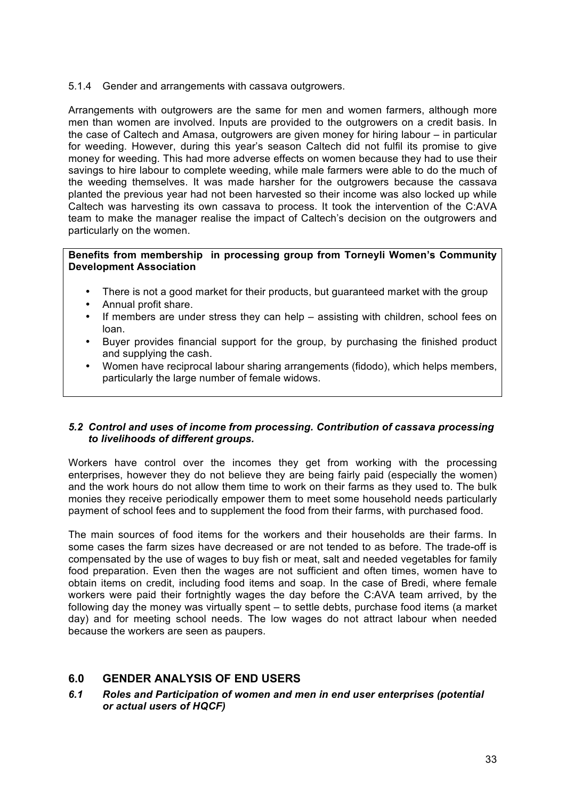5.1.4 Gender and arrangements with cassava outgrowers.

Arrangements with outgrowers are the same for men and women farmers, although more men than women are involved. Inputs are provided to the outgrowers on a credit basis. In the case of Caltech and Amasa, outgrowers are given money for hiring labour – in particular for weeding. However, during this year's season Caltech did not fulfil its promise to give money for weeding. This had more adverse effects on women because they had to use their savings to hire labour to complete weeding, while male farmers were able to do the much of the weeding themselves. It was made harsher for the outgrowers because the cassava planted the previous year had not been harvested so their income was also locked up while Caltech was harvesting its own cassava to process. It took the intervention of the C:AVA team to make the manager realise the impact of Caltech's decision on the outgrowers and particularly on the women.

#### **Benefits from membership in processing group from Torneyli Women's Community Development Association**

- There is not a good market for their products, but guaranteed market with the group
- Annual profit share.
- If members are under stress they can help  $-$  assisting with children, school fees on loan.
- Buyer provides financial support for the group, by purchasing the finished product and supplying the cash.
- Women have reciprocal labour sharing arrangements (fidodo), which helps members, particularly the large number of female widows.

#### *5.2 Control and uses of income from processing. Contribution of cassava processing to livelihoods of different groups.*

Workers have control over the incomes they get from working with the processing enterprises, however they do not believe they are being fairly paid (especially the women) and the work hours do not allow them time to work on their farms as they used to. The bulk monies they receive periodically empower them to meet some household needs particularly payment of school fees and to supplement the food from their farms, with purchased food.

The main sources of food items for the workers and their households are their farms. In some cases the farm sizes have decreased or are not tended to as before. The trade-off is compensated by the use of wages to buy fish or meat, salt and needed vegetables for family food preparation. Even then the wages are not sufficient and often times, women have to obtain items on credit, including food items and soap. In the case of Bredi, where female workers were paid their fortnightly wages the day before the C:AVA team arrived, by the following day the money was virtually spent – to settle debts, purchase food items (a market day) and for meeting school needs. The low wages do not attract labour when needed because the workers are seen as paupers.

# **6.0 GENDER ANALYSIS OF END USERS**

#### *6.1 Roles and Participation of women and men in end user enterprises (potential or actual users of HQCF)*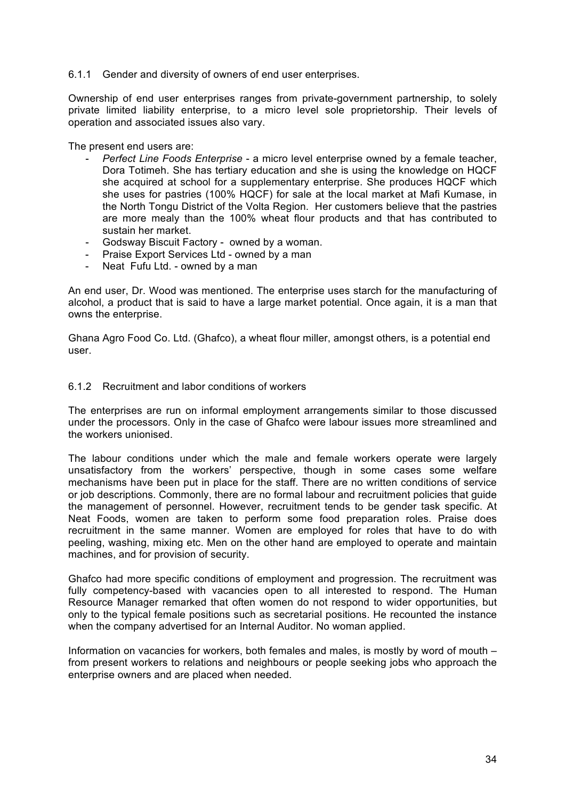#### 6.1.1 Gender and diversity of owners of end user enterprises.

Ownership of end user enterprises ranges from private-government partnership, to solely private limited liability enterprise, to a micro level sole proprietorship. Their levels of operation and associated issues also vary.

The present end users are:

- *Perfect Line Foods Enterprise* a micro level enterprise owned by a female teacher, Dora Totimeh. She has tertiary education and she is using the knowledge on HQCF she acquired at school for a supplementary enterprise. She produces HQCF which she uses for pastries (100% HQCF) for sale at the local market at Mafi Kumase, in the North Tongu District of the Volta Region. Her customers believe that the pastries are more mealy than the 100% wheat flour products and that has contributed to sustain her market.
- Godsway Biscuit Factory owned by a woman.
- Praise Export Services Ltd owned by a man
- Neat Fufu Ltd. owned by a man

An end user, Dr. Wood was mentioned. The enterprise uses starch for the manufacturing of alcohol, a product that is said to have a large market potential. Once again, it is a man that owns the enterprise.

Ghana Agro Food Co. Ltd. (Ghafco), a wheat flour miller, amongst others, is a potential end user.

#### 6.1.2 Recruitment and labor conditions of workers

The enterprises are run on informal employment arrangements similar to those discussed under the processors. Only in the case of Ghafco were labour issues more streamlined and the workers unionised.

The labour conditions under which the male and female workers operate were largely unsatisfactory from the workers' perspective, though in some cases some welfare mechanisms have been put in place for the staff. There are no written conditions of service or job descriptions. Commonly, there are no formal labour and recruitment policies that guide the management of personnel. However, recruitment tends to be gender task specific. At Neat Foods, women are taken to perform some food preparation roles. Praise does recruitment in the same manner. Women are employed for roles that have to do with peeling, washing, mixing etc. Men on the other hand are employed to operate and maintain machines, and for provision of security.

Ghafco had more specific conditions of employment and progression. The recruitment was fully competency-based with vacancies open to all interested to respond. The Human Resource Manager remarked that often women do not respond to wider opportunities, but only to the typical female positions such as secretarial positions. He recounted the instance when the company advertised for an Internal Auditor. No woman applied.

Information on vacancies for workers, both females and males, is mostly by word of mouth – from present workers to relations and neighbours or people seeking jobs who approach the enterprise owners and are placed when needed.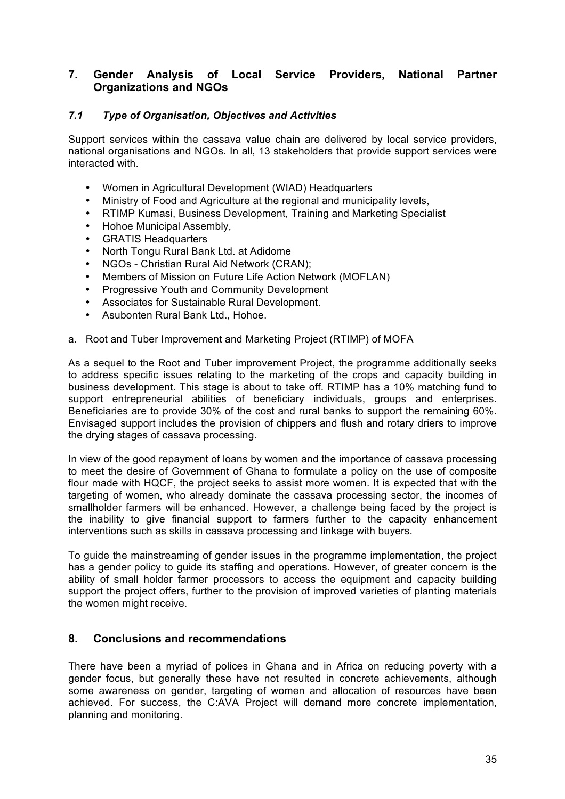# **7. Gender Analysis of Local Service Providers, National Partner Organizations and NGOs**

#### *7.1 Type of Organisation, Objectives and Activities*

Support services within the cassava value chain are delivered by local service providers, national organisations and NGOs. In all, 13 stakeholders that provide support services were interacted with.

- Women in Agricultural Development (WIAD) Headquarters
- Ministry of Food and Agriculture at the regional and municipality levels,
- RTIMP Kumasi, Business Development, Training and Marketing Specialist
- Hohoe Municipal Assembly,
- GRATIS Headquarters
- North Tongu Rural Bank Ltd. at Adidome
- NGOs Christian Rural Aid Network (CRAN);
- Members of Mission on Future Life Action Network (MOFLAN)
- Progressive Youth and Community Development
- Associates for Sustainable Rural Development.
- Asubonten Rural Bank Ltd., Hohoe.
- a. Root and Tuber Improvement and Marketing Project (RTIMP) of MOFA

As a sequel to the Root and Tuber improvement Project, the programme additionally seeks to address specific issues relating to the marketing of the crops and capacity building in business development. This stage is about to take off. RTIMP has a 10% matching fund to support entrepreneurial abilities of beneficiary individuals, groups and enterprises. Beneficiaries are to provide 30% of the cost and rural banks to support the remaining 60%. Envisaged support includes the provision of chippers and flush and rotary driers to improve the drying stages of cassava processing.

In view of the good repayment of loans by women and the importance of cassava processing to meet the desire of Government of Ghana to formulate a policy on the use of composite flour made with HQCF, the project seeks to assist more women. It is expected that with the targeting of women, who already dominate the cassava processing sector, the incomes of smallholder farmers will be enhanced. However, a challenge being faced by the project is the inability to give financial support to farmers further to the capacity enhancement interventions such as skills in cassava processing and linkage with buyers.

To guide the mainstreaming of gender issues in the programme implementation, the project has a gender policy to guide its staffing and operations. However, of greater concern is the ability of small holder farmer processors to access the equipment and capacity building support the project offers, further to the provision of improved varieties of planting materials the women might receive.

#### **8. Conclusions and recommendations**

There have been a myriad of polices in Ghana and in Africa on reducing poverty with a gender focus, but generally these have not resulted in concrete achievements, although some awareness on gender, targeting of women and allocation of resources have been achieved. For success, the C:AVA Project will demand more concrete implementation, planning and monitoring.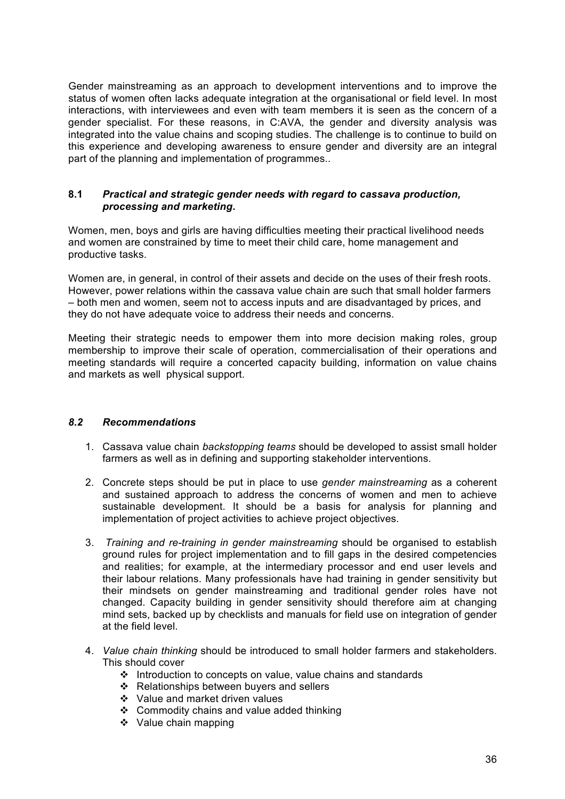Gender mainstreaming as an approach to development interventions and to improve the status of women often lacks adequate integration at the organisational or field level. In most interactions, with interviewees and even with team members it is seen as the concern of a gender specialist. For these reasons, in C:AVA, the gender and diversity analysis was integrated into the value chains and scoping studies. The challenge is to continue to build on this experience and developing awareness to ensure gender and diversity are an integral part of the planning and implementation of programmes..

#### **8.1** *Practical and strategic gender needs with regard to cassava production, processing and marketing***.**

Women, men, boys and girls are having difficulties meeting their practical livelihood needs and women are constrained by time to meet their child care, home management and productive tasks.

Women are, in general, in control of their assets and decide on the uses of their fresh roots. However, power relations within the cassava value chain are such that small holder farmers – both men and women, seem not to access inputs and are disadvantaged by prices, and they do not have adequate voice to address their needs and concerns.

Meeting their strategic needs to empower them into more decision making roles, group membership to improve their scale of operation, commercialisation of their operations and meeting standards will require a concerted capacity building, information on value chains and markets as well physical support.

#### *8.2 Recommendations*

- 1. Cassava value chain *backstopping teams* should be developed to assist small holder farmers as well as in defining and supporting stakeholder interventions.
- 2. Concrete steps should be put in place to use *gender mainstreaming* as a coherent and sustained approach to address the concerns of women and men to achieve sustainable development. It should be a basis for analysis for planning and implementation of project activities to achieve project objectives.
- 3. *Training and re-training in gender mainstreaming* should be organised to establish ground rules for project implementation and to fill gaps in the desired competencies and realities; for example, at the intermediary processor and end user levels and their labour relations. Many professionals have had training in gender sensitivity but their mindsets on gender mainstreaming and traditional gender roles have not changed. Capacity building in gender sensitivity should therefore aim at changing mind sets, backed up by checklists and manuals for field use on integration of gender at the field level.
- 4. *Value chain thinking* should be introduced to small holder farmers and stakeholders. This should cover
	- $\div$  Introduction to concepts on value, value chains and standards
	- ❖ Relationships between buyers and sellers
	- ❖ Value and market driven values
	- ❖ Commodity chains and value added thinking
	- ❖ Value chain mapping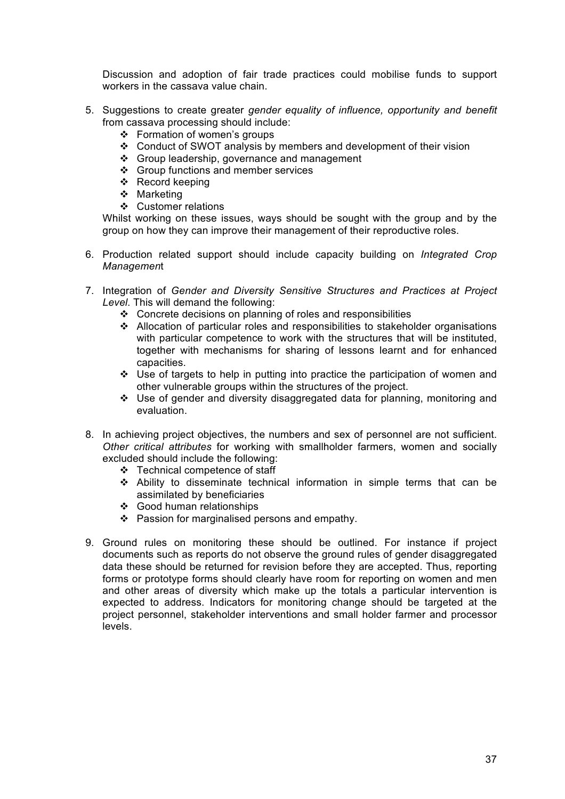Discussion and adoption of fair trade practices could mobilise funds to support workers in the cassava value chain.

- 5. Suggestions to create greater *gender equality of influence, opportunity and benefit* from cassava processing should include:
	- Formation of women's groups
	- Conduct of SWOT analysis by members and development of their vision
	- ❖ Group leadership, governance and management
	- ❖ Group functions and member services
	- Record keeping
	- ❖ Marketing
	- Customer relations

Whilst working on these issues, ways should be sought with the group and by the group on how they can improve their management of their reproductive roles.

- 6. Production related support should include capacity building on *Integrated Crop Managemen*t
- 7. Integration of *Gender and Diversity Sensitive Structures and Practices at Project Level*. This will demand the following:
	- $\div$  Concrete decisions on planning of roles and responsibilities
	- Allocation of particular roles and responsibilities to stakeholder organisations with particular competence to work with the structures that will be instituted, together with mechanisms for sharing of lessons learnt and for enhanced capacities.
	- Use of targets to help in putting into practice the participation of women and other vulnerable groups within the structures of the project.
	- Use of gender and diversity disaggregated data for planning, monitoring and evaluation.
- 8. In achieving project objectives, the numbers and sex of personnel are not sufficient. *Other critical attributes* for working with smallholder farmers, women and socially excluded should include the following:
	- Technical competence of staff
	- Ability to disseminate technical information in simple terms that can be assimilated by beneficiaries
	- Good human relationships
	- $\div$  Passion for marginalised persons and empathy.
- 9. Ground rules on monitoring these should be outlined. For instance if project documents such as reports do not observe the ground rules of gender disaggregated data these should be returned for revision before they are accepted. Thus, reporting forms or prototype forms should clearly have room for reporting on women and men and other areas of diversity which make up the totals a particular intervention is expected to address. Indicators for monitoring change should be targeted at the project personnel, stakeholder interventions and small holder farmer and processor levels.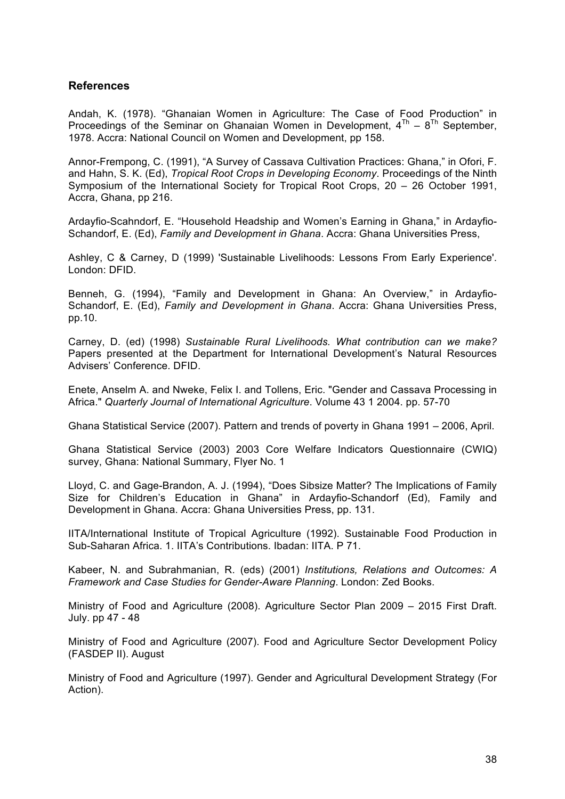#### **References**

Andah, K. (1978). "Ghanaian Women in Agriculture: The Case of Food Production" in Proceedings of the Seminar on Ghanaian Women in Development,  $4^{Th} - 8^{Th}$  September, 1978. Accra: National Council on Women and Development, pp 158.

Annor-Frempong, C. (1991), "A Survey of Cassava Cultivation Practices: Ghana," in Ofori, F. and Hahn, S. K. (Ed), *Tropical Root Crops in Developing Economy*. Proceedings of the Ninth Symposium of the International Society for Tropical Root Crops, 20 – 26 October 1991, Accra, Ghana, pp 216.

Ardayfio-Scahndorf, E. "Household Headship and Women's Earning in Ghana," in Ardayfio-Schandorf, E. (Ed), *Family and Development in Ghana*. Accra: Ghana Universities Press,

Ashley, C & Carney, D (1999) 'Sustainable Livelihoods: Lessons From Early Experience'. London: DFID.

Benneh, G. (1994), "Family and Development in Ghana: An Overview," in Ardayfio-Schandorf, E. (Ed), *Family and Development in Ghana*. Accra: Ghana Universities Press, pp.10.

Carney, D. (ed) (1998) *Sustainable Rural Livelihoods. What contribution can we make?* Papers presented at the Department for International Development's Natural Resources Advisers' Conference. DFID.

Enete, Anselm A. and Nweke, Felix I. and Tollens, Eric. "Gender and Cassava Processing in Africa." *Quarterly Journal of International Agriculture*. Volume 43 1 2004. pp. 57-70

Ghana Statistical Service (2007). Pattern and trends of poverty in Ghana 1991 – 2006, April.

Ghana Statistical Service (2003) 2003 Core Welfare Indicators Questionnaire (CWIQ) survey, Ghana: National Summary, Flyer No. 1

Lloyd, C. and Gage-Brandon, A. J. (1994), "Does Sibsize Matter? The Implications of Family Size for Children's Education in Ghana" in Ardayfio-Schandorf (Ed), Family and Development in Ghana. Accra: Ghana Universities Press, pp. 131.

IITA/International Institute of Tropical Agriculture (1992). Sustainable Food Production in Sub-Saharan Africa. 1. IITA's Contributions. Ibadan: IITA. P 71.

Kabeer, N. and Subrahmanian, R. (eds) (2001) *Institutions, Relations and Outcomes: A Framework and Case Studies for Gender-Aware Planning*. London: Zed Books.

Ministry of Food and Agriculture (2008). Agriculture Sector Plan 2009 – 2015 First Draft. July. pp 47 - 48

Ministry of Food and Agriculture (2007). Food and Agriculture Sector Development Policy (FASDEP II). August

Ministry of Food and Agriculture (1997). Gender and Agricultural Development Strategy (For Action).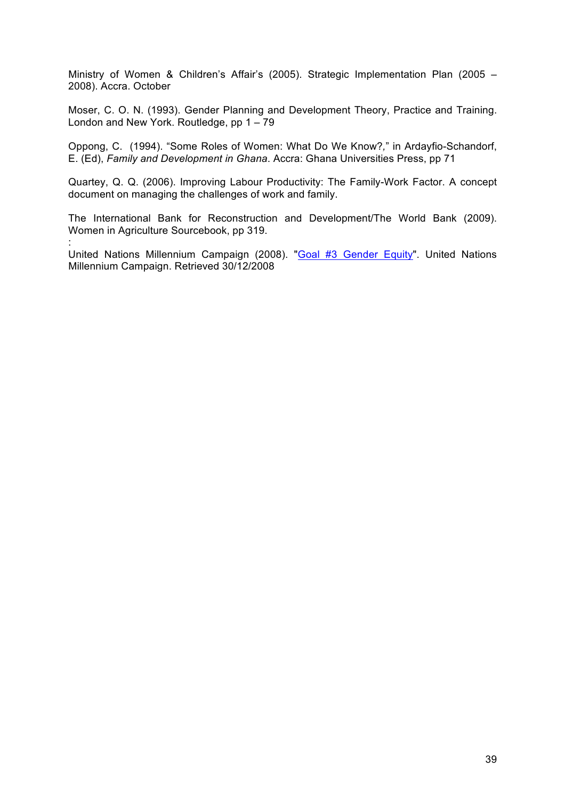Ministry of Women & Children's Affair's (2005). Strategic Implementation Plan (2005 – 2008). Accra. October

Moser, C. O. N. (1993). Gender Planning and Development Theory, Practice and Training. London and New York. Routledge, pp 1 – 79

Oppong, C. (1994). "Some Roles of Women: What Do We Know?*,*" in Ardayfio-Schandorf, E. (Ed), *Family and Development in Ghana*. Accra: Ghana Universities Press, pp 71

Quartey, Q. Q. (2006). Improving Labour Productivity: The Family-Work Factor. A concept document on managing the challenges of work and family.

The International Bank for Reconstruction and Development/The World Bank (2009). Women in Agriculture Sourcebook, pp 319.

United Nations Millennium Campaign (2008). "Goal #3 Gender Equity". United Nations Millennium Campaign. Retrieved 30/12/2008

: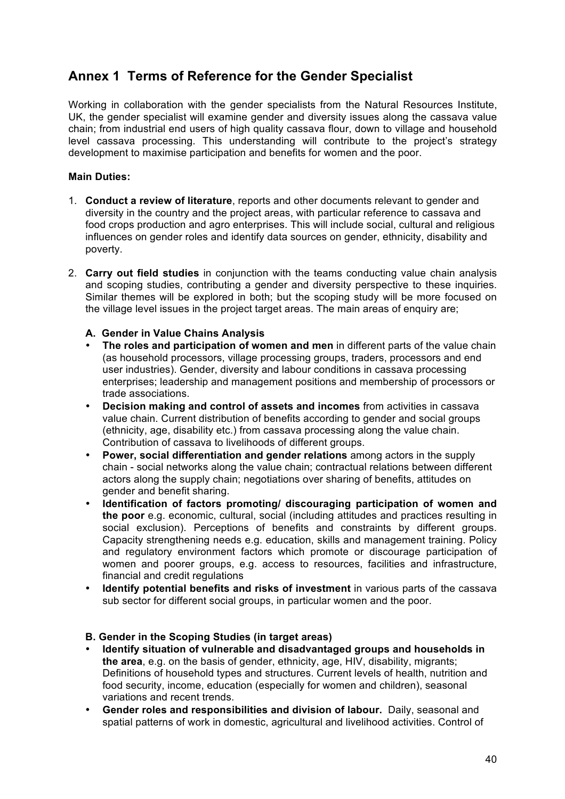# **Annex 1 Terms of Reference for the Gender Specialist**

Working in collaboration with the gender specialists from the Natural Resources Institute, UK, the gender specialist will examine gender and diversity issues along the cassava value chain; from industrial end users of high quality cassava flour, down to village and household level cassava processing. This understanding will contribute to the project's strategy development to maximise participation and benefits for women and the poor.

#### **Main Duties:**

- 1. **Conduct a review of literature**, reports and other documents relevant to gender and diversity in the country and the project areas, with particular reference to cassava and food crops production and agro enterprises. This will include social, cultural and religious influences on gender roles and identify data sources on gender, ethnicity, disability and poverty.
- 2. **Carry out field studies** in conjunction with the teams conducting value chain analysis and scoping studies, contributing a gender and diversity perspective to these inquiries. Similar themes will be explored in both; but the scoping study will be more focused on the village level issues in the project target areas. The main areas of enquiry are;
	- **A. Gender in Value Chains Analysis**
	- **The roles and participation of women and men** in different parts of the value chain (as household processors, village processing groups, traders, processors and end user industries). Gender, diversity and labour conditions in cassava processing enterprises; leadership and management positions and membership of processors or trade associations.
	- **Decision making and control of assets and incomes** from activities in cassava value chain. Current distribution of benefits according to gender and social groups (ethnicity, age, disability etc.) from cassava processing along the value chain. Contribution of cassava to livelihoods of different groups.
	- **Power, social differentiation and gender relations** among actors in the supply chain - social networks along the value chain; contractual relations between different actors along the supply chain; negotiations over sharing of benefits, attitudes on gender and benefit sharing.
	- **Identification of factors promoting/ discouraging participation of women and the poor** e.g. economic, cultural, social (including attitudes and practices resulting in social exclusion). Perceptions of benefits and constraints by different groups. Capacity strengthening needs e.g. education, skills and management training. Policy and regulatory environment factors which promote or discourage participation of women and poorer groups, e.g. access to resources, facilities and infrastructure, financial and credit regulations
	- **Identify potential benefits and risks of investment** in various parts of the cassava sub sector for different social groups, in particular women and the poor.

#### **B. Gender in the Scoping Studies (in target areas)**

- **Identify situation of vulnerable and disadvantaged groups and households in the area**, e.g. on the basis of gender, ethnicity, age, HIV, disability, migrants; Definitions of household types and structures. Current levels of health, nutrition and food security, income, education (especially for women and children), seasonal variations and recent trends.
- **Gender roles and responsibilities and division of labour.** Daily, seasonal and spatial patterns of work in domestic, agricultural and livelihood activities. Control of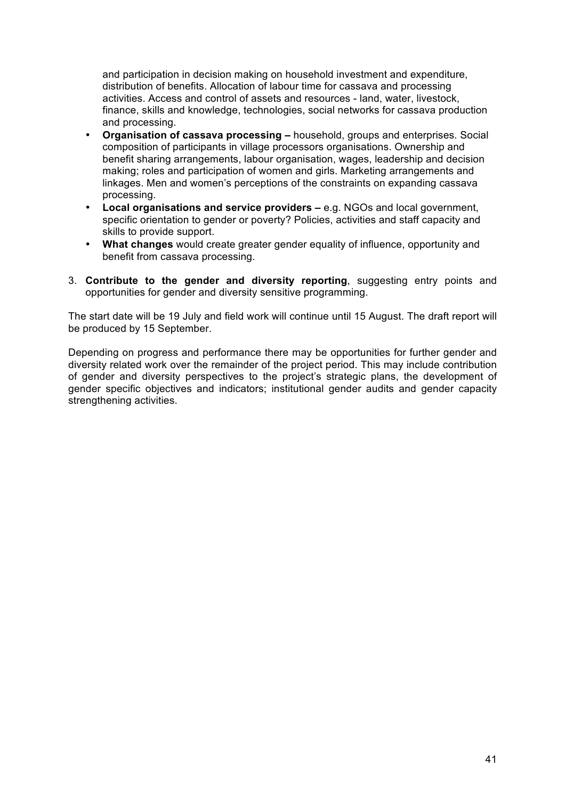and participation in decision making on household investment and expenditure, distribution of benefits. Allocation of labour time for cassava and processing activities. Access and control of assets and resources - land, water, livestock, finance, skills and knowledge, technologies, social networks for cassava production and processing.

- **Organisation of cassava processing –** household, groups and enterprises. Social composition of participants in village processors organisations. Ownership and benefit sharing arrangements, labour organisation, wages, leadership and decision making; roles and participation of women and girls. Marketing arrangements and linkages. Men and women's perceptions of the constraints on expanding cassava processing.
- **Local organisations and service providers –** e.g. NGOs and local government, specific orientation to gender or poverty? Policies, activities and staff capacity and skills to provide support.
- **What changes** would create greater gender equality of influence, opportunity and benefit from cassava processing.
- 3. **Contribute to the gender and diversity reporting**, suggesting entry points and opportunities for gender and diversity sensitive programming.

The start date will be 19 July and field work will continue until 15 August. The draft report will be produced by 15 September.

Depending on progress and performance there may be opportunities for further gender and diversity related work over the remainder of the project period. This may include contribution of gender and diversity perspectives to the project's strategic plans, the development of gender specific objectives and indicators; institutional gender audits and gender capacity strengthening activities.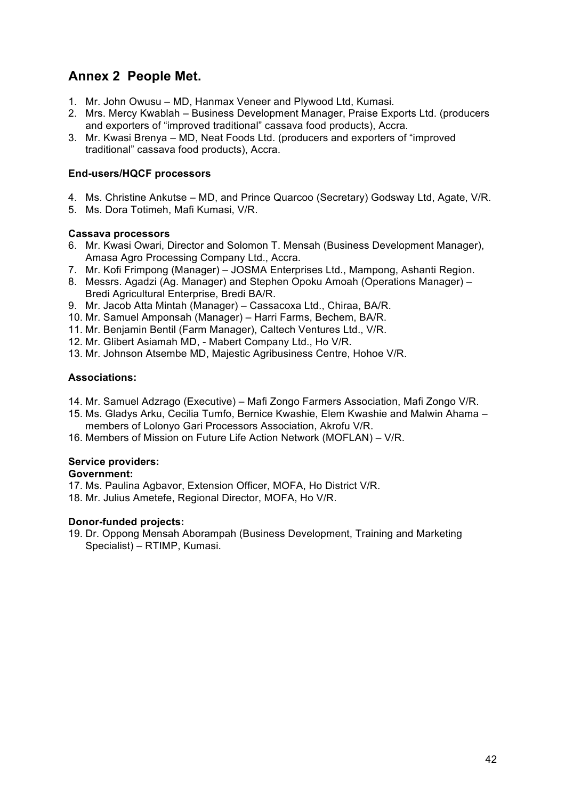# **Annex 2 People Met.**

- 1. Mr. John Owusu MD, Hanmax Veneer and Plywood Ltd, Kumasi.
- 2. Mrs. Mercy Kwablah Business Development Manager, Praise Exports Ltd. (producers and exporters of "improved traditional" cassava food products), Accra.
- 3. Mr. Kwasi Brenya MD, Neat Foods Ltd. (producers and exporters of "improved traditional" cassava food products), Accra.

#### **End-users/HQCF processors**

- 4. Ms. Christine Ankutse MD, and Prince Quarcoo (Secretary) Godsway Ltd, Agate, V/R.
- 5. Ms. Dora Totimeh, Mafi Kumasi, V/R.

#### **Cassava processors**

- 6. Mr. Kwasi Owari, Director and Solomon T. Mensah (Business Development Manager), Amasa Agro Processing Company Ltd., Accra.
- 7. Mr. Kofi Frimpong (Manager) JOSMA Enterprises Ltd., Mampong, Ashanti Region.
- 8. Messrs. Agadzi (Ag. Manager) and Stephen Opoku Amoah (Operations Manager) Bredi Agricultural Enterprise, Bredi BA/R.
- 9. Mr. Jacob Atta Mintah (Manager) Cassacoxa Ltd., Chiraa, BA/R.
- 10. Mr. Samuel Amponsah (Manager) Harri Farms, Bechem, BA/R.
- 11. Mr. Benjamin Bentil (Farm Manager), Caltech Ventures Ltd., V/R.
- 12. Mr. Glibert Asiamah MD, Mabert Company Ltd., Ho V/R.
- 13. Mr. Johnson Atsembe MD, Majestic Agribusiness Centre, Hohoe V/R.

#### **Associations:**

- 14. Mr. Samuel Adzrago (Executive) Mafi Zongo Farmers Association, Mafi Zongo V/R.
- 15. Ms. Gladys Arku, Cecilia Tumfo, Bernice Kwashie, Elem Kwashie and Malwin Ahama members of Lolonyo Gari Processors Association, Akrofu V/R.
- 16. Members of Mission on Future Life Action Network (MOFLAN) V/R.

#### **Service providers:**

#### **Government:**

- 17. Ms. Paulina Agbavor, Extension Officer, MOFA, Ho District V/R.
- 18. Mr. Julius Ametefe, Regional Director, MOFA, Ho V/R.

#### **Donor-funded projects:**

19. Dr. Oppong Mensah Aborampah (Business Development, Training and Marketing Specialist) – RTIMP, Kumasi.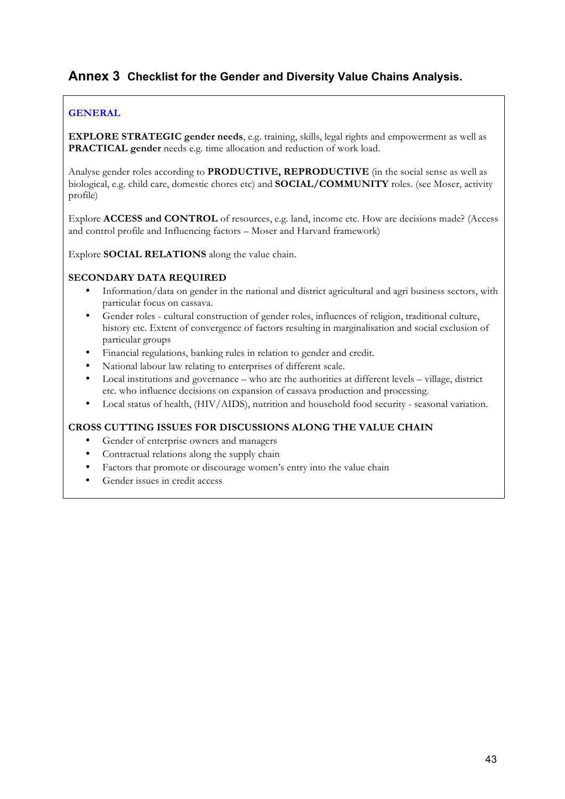# **Annex 3 Checklist for the Gender and Diversity Value Chains Analysis.**

#### **GENERAL**

**EXPLORE STRATEGIC gender needs**, e.g. training, skills, legal rights and empowerment as well as **PRACTICAL gender** needs e.g. time allocation and reduction of work load.

Analyse gender roles according to **PRODUCTIVE, REPRODUCTIVE** (in the social sense as well as biological, e.g. child care, domestic chores etc) and **SOCIAL/COMMUNITY** roles. (see Moser, activity profile)

Explore **ACCESS and CONTROL** of resources, e.g. land, income etc. How are decisions made? (Access and control profile and Influencing factors – Moser and Harvard framework)

Explore **SOCIAL RELATIONS** along the value chain.

#### **SECONDARY DATA REQUIRED**

- Information/data on gender in the national and district agricultural and agri business sectors, with particular focus on cassava.
- Gender roles cultural construction of gender roles, influences of religion, traditional culture, history etc. Extent of convergence of factors resulting in marginalisation and social exclusion of particular groups
- Financial regulations, banking rules in relation to gender and credit.
- National labour law relating to enterprises of different scale.
- Local institutions and governance who are the authorities at different levels village, district etc. who influence decisions on expansion of cassava production and processing.
- Local status of health, (HIV/AIDS), nutrition and household food security seasonal variation.

#### **CROSS CUTTING ISSUES FOR DISCUSSIONS ALONG THE VALUE CHAIN**

- Gender of enterprise owners and managers
- Contractual relations along the supply chain
- Factors that promote or discourage women's entry into the value chain
- Gender issues in credit access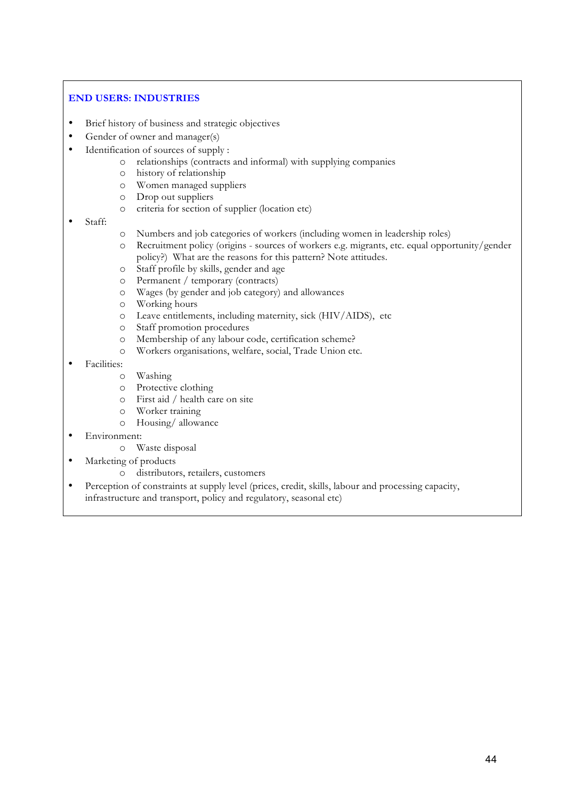#### **END USERS: INDUSTRIES**

- Brief history of business and strategic objectives
- Gender of owner and manager(s)
- Identification of sources of supply :
	- o relationships (contracts and informal) with supplying companies
	- o history of relationship
	- o Women managed suppliers
	- o Drop out suppliers
	- o criteria for section of supplier (location etc)
- Staff:
- o Numbers and job categories of workers (including women in leadership roles)
- o Recruitment policy (origins sources of workers e.g. migrants, etc. equal opportunity/gender policy?) What are the reasons for this pattern? Note attitudes.
- o Staff profile by skills, gender and age
- o Permanent / temporary (contracts)
- o Wages (by gender and job category) and allowances
- o Working hours
- o Leave entitlements, including maternity, sick (HIV/AIDS), etc
- o Staff promotion procedures
- o Membership of any labour code, certification scheme?
- o Workers organisations, welfare, social, Trade Union etc.
- Facilities:
	- o Washing
	- o Protective clothing
	- o First aid / health care on site
	- o Worker training
	- o Housing/ allowance
- Environment:
	- o Waste disposal
- Marketing of products
	- o distributors, retailers, customers
- Perception of constraints at supply level (prices, credit, skills, labour and processing capacity, infrastructure and transport, policy and regulatory, seasonal etc)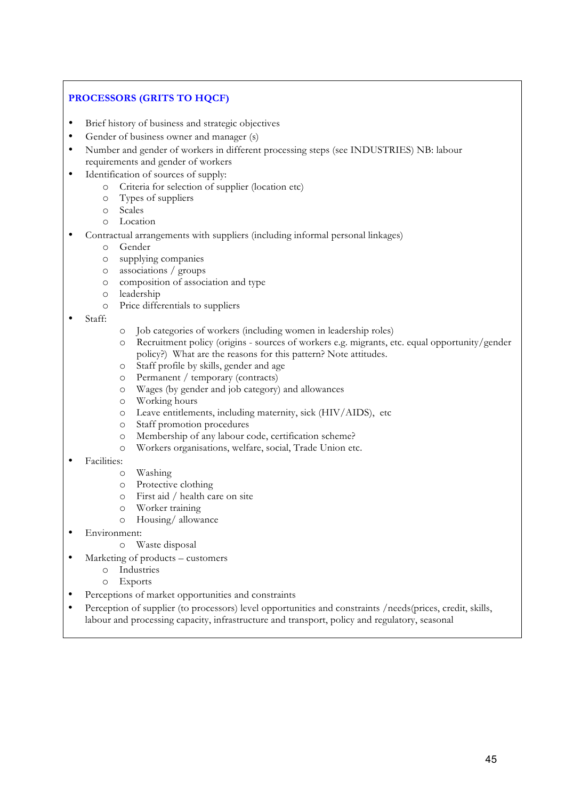# **PROCESSORS (GRITS TO HQCF)**

- Brief history of business and strategic objectives
- Gender of business owner and manager (s)
- Number and gender of workers in different processing steps (see INDUSTRIES) NB: labour requirements and gender of workers
- Identification of sources of supply:
	- o Criteria for selection of supplier (location etc)
	- o Types of suppliers
	- o Scales
	- o Location
- Contractual arrangements with suppliers (including informal personal linkages)
	- o Gender
	- o supplying companies
	- o associations / groups
	- o composition of association and type
	- o leadership
	- o Price differentials to suppliers
- Staff:
- o Job categories of workers (including women in leadership roles)
- o Recruitment policy (origins sources of workers e.g. migrants, etc. equal opportunity/gender policy?) What are the reasons for this pattern? Note attitudes.
- o Staff profile by skills, gender and age
- o Permanent / temporary (contracts)
- o Wages (by gender and job category) and allowances
- o Working hours
- o Leave entitlements, including maternity, sick (HIV/AIDS), etc
- o Staff promotion procedures
- o Membership of any labour code, certification scheme?
- o Workers organisations, welfare, social, Trade Union etc.
- Facilities:
	- o Washing
	- o Protective clothing
	- o First aid / health care on site
	- o Worker training
	- o Housing/ allowance
- Environment:
	- o Waste disposal
- Marketing of products customers
	- o Industries
	- o Exports
- Perceptions of market opportunities and constraints
- Perception of supplier (to processors) level opportunities and constraints /needs(prices, credit, skills, labour and processing capacity, infrastructure and transport, policy and regulatory, seasonal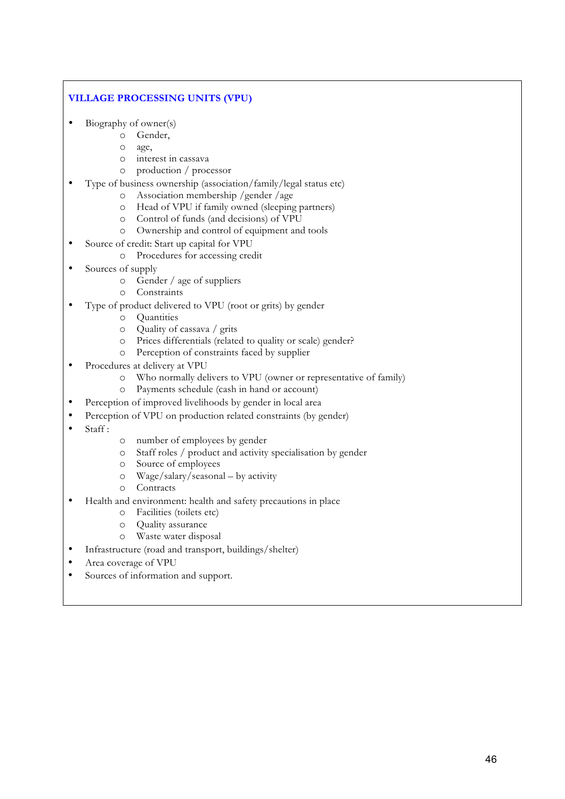#### **VILLAGE PROCESSING UNITS (VPU)**

- Biography of owner(s)
	- o Gender,
	- o age,
	- o interest in cassava
	- o production / processor
- Type of business ownership (association/family/legal status etc)
	- o Association membership /gender /age
	- o Head of VPU if family owned (sleeping partners)
	- o Control of funds (and decisions) of VPU
	- o Ownership and control of equipment and tools
- Source of credit: Start up capital for VPU
	- o Procedures for accessing credit
- Sources of supply
	- o Gender / age of suppliers
	- o Constraints
- Type of product delivered to VPU (root or grits) by gender
	- o Quantities
	- o Quality of cassava / grits
	- o Prices differentials (related to quality or scale) gender?
	- o Perception of constraints faced by supplier
- Procedures at delivery at VPU
	- o Who normally delivers to VPU (owner or representative of family)
	- o Payments schedule (cash in hand or account)
- Perception of improved livelihoods by gender in local area
- Perception of VPU on production related constraints (by gender)
- Staff:
- o number of employees by gender
- o Staff roles / product and activity specialisation by gender
- o Source of employees
- o Wage/salary/seasonal by activity
- o Contracts
- Health and environment: health and safety precautions in place
	- o Facilities (toilets etc)
	- o Quality assurance
	- o Waste water disposal
- Infrastructure (road and transport, buildings/shelter)
- Area coverage of VPU
- Sources of information and support.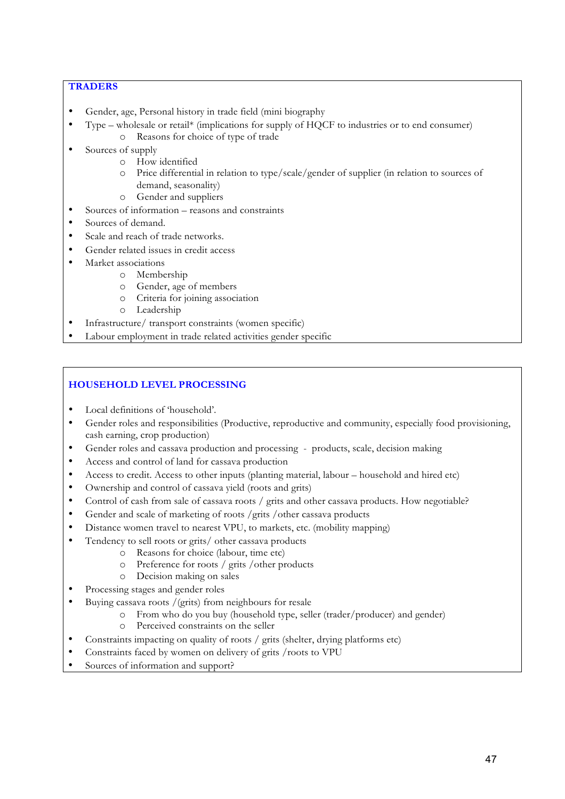#### **TRADERS**

- Gender, age, Personal history in trade field (mini biography
- Type wholesale or retail\* (implications for supply of HQCF to industries or to end consumer)
	- o Reasons for choice of type of trade
- Sources of supply
	- o How identified
	- o Price differential in relation to type/scale/gender of supplier (in relation to sources of demand, seasonality)
	- o Gender and suppliers
- Sources of information reasons and constraints
- Sources of demand.
- Scale and reach of trade networks.
- Gender related issues in credit access
- Market associations
	- o Membership
	- o Gender, age of members
	- o Criteria for joining association
	- o Leadership
- Infrastructure/ transport constraints (women specific)
- Labour employment in trade related activities gender specific

#### **HOUSEHOLD LEVEL PROCESSING**

- Local definitions of 'household'.
- Gender roles and responsibilities (Productive, reproductive and community, especially food provisioning, cash earning, crop production)
- Gender roles and cassava production and processing products, scale, decision making
- Access and control of land for cassava production
- Access to credit. Access to other inputs (planting material, labour household and hired etc)
- Ownership and control of cassava yield (roots and grits)
- Control of cash from sale of cassava roots / grits and other cassava products. How negotiable?
- Gender and scale of marketing of roots /grits /other cassava products
- Distance women travel to nearest VPU, to markets, etc. (mobility mapping)
- Tendency to sell roots or grits/ other cassava products
	- o Reasons for choice (labour, time etc)
		- o Preference for roots / grits /other products
	- o Decision making on sales
- Processing stages and gender roles
- Buying cassava roots /(grits) from neighbours for resale
	- o From who do you buy (household type, seller (trader/producer) and gender)
	- o Perceived constraints on the seller
- Constraints impacting on quality of roots / grits (shelter, drying platforms etc)
- Constraints faced by women on delivery of grits /roots to VPU
- Sources of information and support?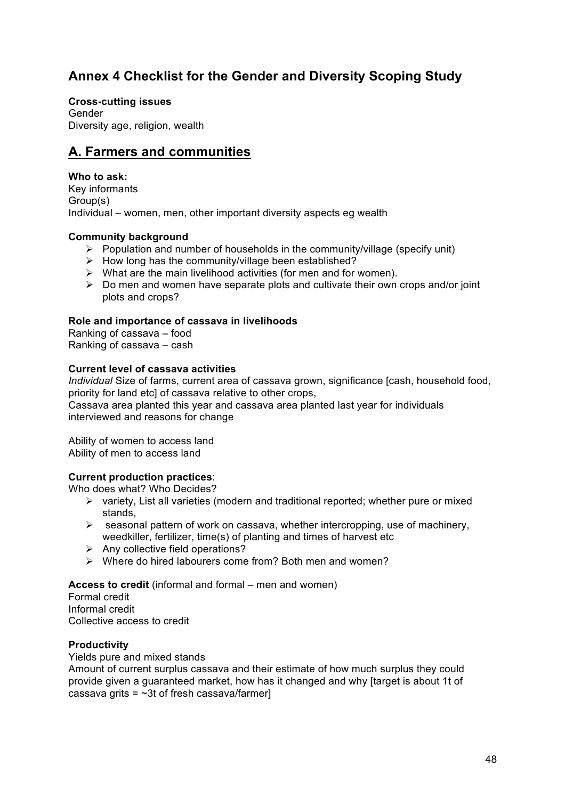# **Annex 4 Checklist for the Gender and Diversity Scoping Study**

**Cross-cutting issues** Gender Diversity age, religion, wealth

# **A. Farmers and communities**

#### **Who to ask:**

Key informants Group(s) Individual – women, men, other important diversity aspects eg wealth

#### **Community background**

- $\triangleright$  Population and number of households in the community/village (specify unit)
- $\triangleright$  How long has the community/village been established?
- $\triangleright$  What are the main livelihood activities (for men and for women).
- $\triangleright$  Do men and women have separate plots and cultivate their own crops and/or joint plots and crops?

#### **Role and importance of cassava in livelihoods**

Ranking of cassava – food Ranking of cassava – cash

#### **Current level of cassava activities**

*Individual* Size of farms, current area of cassava grown, significance [cash, household food, priority for land etcl of cassava relative to other crops.

Cassava area planted this year and cassava area planted last year for individuals interviewed and reasons for change

Ability of women to access land Ability of men to access land

#### **Current production practices**:

Who does what? Who Decides?

- $\triangleright$  variety, List all varieties (modern and traditional reported; whether pure or mixed stands,
- $\triangleright$  seasonal pattern of work on cassava, whether intercropping, use of machinery, weedkiller, fertilizer, time(s) of planting and times of harvest etc
- $\triangleright$  Any collective field operations?
- Where do hired labourers come from? Both men and women?

**Access to credit** (informal and formal – men and women)

Formal credit Informal credit Collective access to credit

#### **Productivity**

Yields pure and mixed stands

Amount of current surplus cassava and their estimate of how much surplus they could provide given a guaranteed market, how has it changed and why [target is about 1t of cassava grits =  $\sim$ 3t of fresh cassava/farmer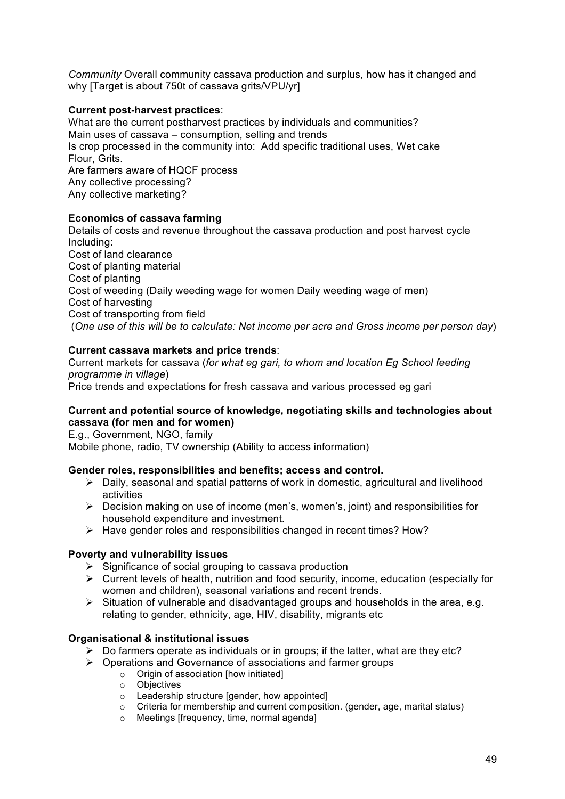*Community* Overall community cassava production and surplus, how has it changed and why ITarget is about 750t of cassava grits/VPU/yrl

#### **Current post-harvest practices**:

What are the current postharvest practices by individuals and communities? Main uses of cassava – consumption, selling and trends Is crop processed in the community into: Add specific traditional uses, Wet cake Flour, Grits. Are farmers aware of HQCF process Any collective processing? Any collective marketing?

#### **Economics of cassava farming**

Details of costs and revenue throughout the cassava production and post harvest cycle Including: Cost of land clearance Cost of planting material Cost of planting Cost of weeding (Daily weeding wage for women Daily weeding wage of men) Cost of harvesting Cost of transporting from field (*One use of this will be to calculate: Net income per acre and Gross income per person day*)

#### **Current cassava markets and price trends**:

Current markets for cassava (*for what eg gari, to whom and location Eg School feeding programme in village*)

Price trends and expectations for fresh cassava and various processed eg gari

#### **Current and potential source of knowledge, negotiating skills and technologies about cassava (for men and for women)**

E.g., Government, NGO, family Mobile phone, radio, TV ownership (Ability to access information)

#### **Gender roles, responsibilities and benefits; access and control.**

- $\triangleright$  Daily, seasonal and spatial patterns of work in domestic, agricultural and livelihood activities
- $\triangleright$  Decision making on use of income (men's, women's, joint) and responsibilities for household expenditure and investment.
- $\triangleright$  Have gender roles and responsibilities changed in recent times? How?

#### **Poverty and vulnerability issues**

- $\triangleright$  Significance of social grouping to cassava production
- $\triangleright$  Current levels of health, nutrition and food security, income, education (especially for women and children), seasonal variations and recent trends.
- $\triangleright$  Situation of vulnerable and disadvantaged groups and households in the area, e.g. relating to gender, ethnicity, age, HIV, disability, migrants etc

#### **Organisational & institutional issues**

- $\triangleright$  Do farmers operate as individuals or in groups; if the latter, what are they etc?
- $\triangleright$  Operations and Governance of associations and farmer groups
	- o Origin of association [how initiated]
	- o Objectives
	- $\circ$  Leadership structure [gender, how appointed]
	- $\circ$  Criteria for membership and current composition. (gender, age, marital status)
	- o Meetings [frequency, time, normal agenda]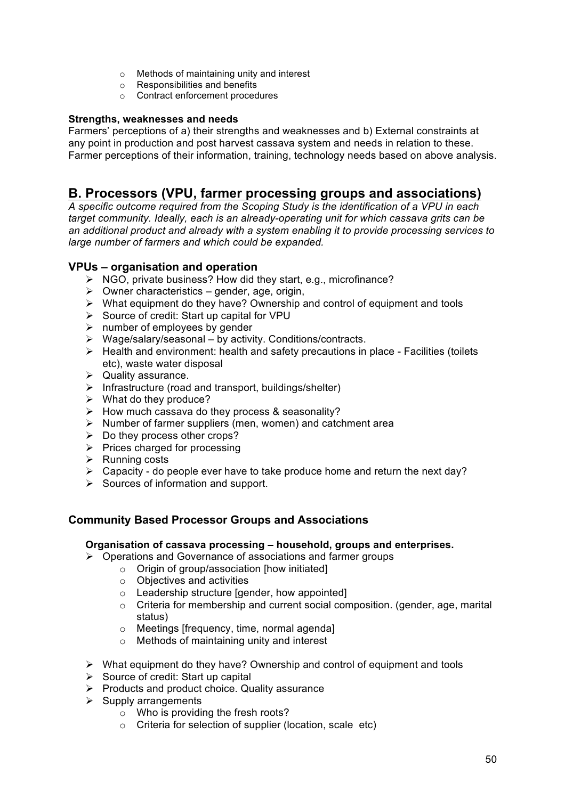- o Methods of maintaining unity and interest
- o Responsibilities and benefits
- o Contract enforcement procedures

#### **Strengths, weaknesses and needs**

Farmers' perceptions of a) their strengths and weaknesses and b) External constraints at any point in production and post harvest cassava system and needs in relation to these. Farmer perceptions of their information, training, technology needs based on above analysis.

# **B. Processors (VPU, farmer processing groups and associations)**

*A specific outcome required from the Scoping Study is the identification of a VPU in each target community. Ideally, each is an already-operating unit for which cassava grits can be an additional product and already with a system enabling it to provide processing services to large number of farmers and which could be expanded.*

#### **VPUs – organisation and operation**

- $\triangleright$  NGO, private business? How did they start, e.g., microfinance?
- $\triangleright$  Owner characteristics gender, age, origin,
- $\triangleright$  What equipment do they have? Ownership and control of equipment and tools
- $\triangleright$  Source of credit: Start up capital for VPU
- $\triangleright$  number of employees by gender
- $\triangleright$  Wage/salary/seasonal by activity. Conditions/contracts.
- $\triangleright$  Health and environment: health and safety precautions in place Facilities (toilets etc), waste water disposal
- $\triangleright$  Quality assurance.
- $\triangleright$  Infrastructure (road and transport, buildings/shelter)
- $\triangleright$  What do they produce?
- $\triangleright$  How much cassava do they process & seasonality?
- $\triangleright$  Number of farmer suppliers (men, women) and catchment area
- $\triangleright$  Do they process other crops?
- $\triangleright$  Prices charged for processing
- $\triangleright$  Running costs
- $\triangleright$  Capacity do people ever have to take produce home and return the next day?
- $\triangleright$  Sources of information and support.

# **Community Based Processor Groups and Associations**

#### **Organisation of cassava processing – household, groups and enterprises.**

- $\triangleright$  Operations and Governance of associations and farmer groups
	- o Origin of group/association [how initiated]
	- o Objectives and activities
	- o Leadership structure [gender, how appointed]
	- $\circ$  Criteria for membership and current social composition. (gender, age, marital status)
	- o Meetings [frequency, time, normal agenda]
	- o Methods of maintaining unity and interest
- $\triangleright$  What equipment do they have? Ownership and control of equipment and tools
- $\triangleright$  Source of credit: Start up capital
- $\triangleright$  Products and product choice. Quality assurance
- $\triangleright$  Supply arrangements
	- $\circ$  Who is providing the fresh roots?
	- o Criteria for selection of supplier (location, scale etc)